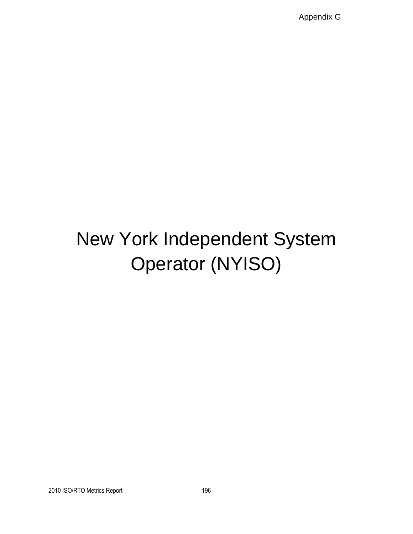Appendix G

# New York Independent System Operator (NYISO)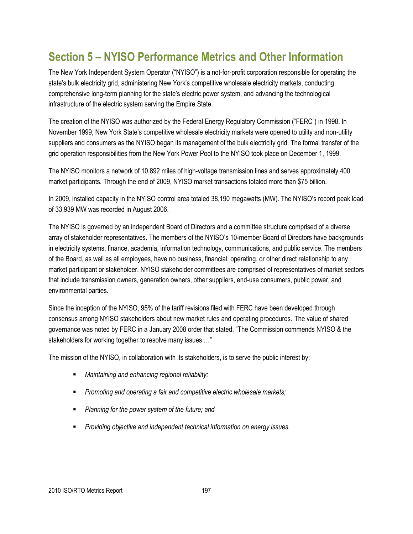## **Section 5 – NYISO Performance Metrics and Other Information**

The New York Independent System Operator ("NYISO") is a not-for-profit corporation responsible for operating the state's bulk electricity grid, administering New York's competitive wholesale electricity markets, conducting comprehensive long-term planning for the state's electric power system, and advancing the technological infrastructure of the electric system serving the Empire State.

The creation of the NYISO was authorized by the Federal Energy Regulatory Commission ("FERC") in 1998. In November 1999, New York State's competitive wholesale electricity markets were opened to utility and non-utility suppliers and consumers as the NYISO began its management of the bulk electricity grid. The formal transfer of the grid operation responsibilities from the New York Power Pool to the NYISO took place on December 1, 1999.

The NYISO monitors a network of 10,892 miles of high-voltage transmission lines and serves approximately 400 market participants. Through the end of 2009, NYISO market transactions totaled more than \$75 billion.

In 2009, installed capacity in the NYISO control area totaled 38,190 megawatts (MW). The NYISO's record peak load of 33,939 MW was recorded in August 2006.

The NYISO is governed by an independent Board of Directors and a committee structure comprised of a diverse array of stakeholder representatives. The members of the NYISO's 10-member Board of Directors have backgrounds in electricity systems, finance, academia, information technology, communications, and public service. The members of the Board, as well as all employees, have no business, financial, operating, or other direct relationship to any market participant or stakeholder. NYISO stakeholder committees are comprised of representatives of market sectors that include transmission owners, generation owners, other suppliers, end-use consumers, public power, and environmental parties.

Since the inception of the NYISO, 95% of the tariff revisions filed with FERC have been developed through consensus among NYISO stakeholders about new market rules and operating procedures. The value of shared governance was noted by FERC in a January 2008 order that stated, "The Commission commends NYISO & the stakeholders for working together to resolve many issues ..."

The mission of the NYISO, in collaboration with its stakeholders, is to serve the public interest by:

- *Maintaining and enhancing regional reliability;*
- *Promoting and operating a fair and competitive electric wholesale markets;*
- *Planning for the power system of the future; and*
- *Providing objective and independent technical information on energy issues.*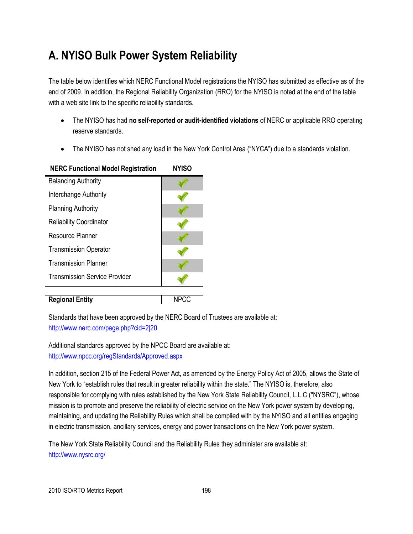## **A. NYISO Bulk Power System Reliability**

The table below identifies which NERC Functional Model registrations the NYISO has submitted as effective as of the end of 2009. In addition, the Regional Reliability Organization (RRO) for the NYISO is noted at the end of the table with a web site link to the specific reliability standards.

- The NYISO has had **no self-reported or audit-identified violations** of NERC or applicable RRO operating reserve standards.
- The NYISO has not shed any load in the New York Control Area ("NYCA") due to a standards violation.

| <b>NERC Functional Model Registration</b> | NYISO |
|-------------------------------------------|-------|
| <b>Balancing Authority</b>                |       |
| Interchange Authority                     |       |
| <b>Planning Authority</b>                 |       |
| <b>Reliability Coordinator</b>            |       |
| Resource Planner                          |       |
| <b>Transmission Operator</b>              |       |
| <b>Transmission Planner</b>               |       |
| <b>Transmission Service Provider</b>      |       |
|                                           |       |
| <b>Regional Entity</b>                    | NPCC  |

## **NERC Functional Model Registration NYISO**

Standards that have been approved by the NERC Board of Trustees are available at: <http://www.nerc.com/page.php?cid=2|20>

Additional standards approved by the NPCC Board are available at: <http://www.npcc.org/regStandards/Approved.aspx>

In addition, section 215 of the Federal Power Act, as amended by the Energy Policy Act of 2005, allows the State of New York to "establish rules that result in greater reliability within the state." The NYISO is, therefore, also responsible for complying with rules established by the New York State Reliability Council, L.L.C ("NYSRC"), whose mission is to promote and preserve the reliability of electric service on the New York power system by developing, maintaining, and updating the Reliability Rules which shall be complied with by the NYISO and all entities engaging in electric transmission, ancillary services, energy and power transactions on the New York power system.

The New York State Reliability Council and the Reliability Rules they administer are available at: http://www.nysrc.org/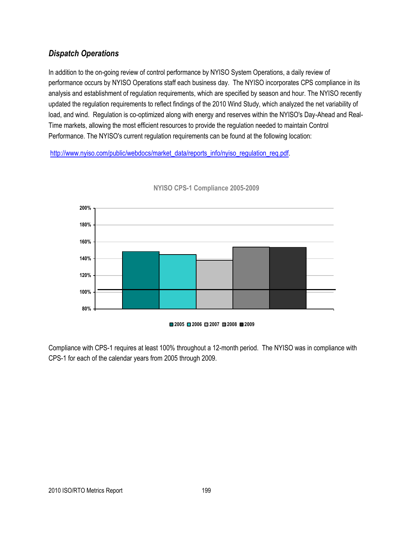## *Dispatch Operations*

In addition to the on-going review of control performance by NYISO System Operations, a daily review of performance occurs by NYISO Operations staff each business day. The NYISO incorporates CPS compliance in its analysis and establishment of regulation requirements, which are specified by season and hour. The NYISO recently updated the regulation requirements to reflect findings of the 2010 Wind Study, which analyzed the net variability of load, and wind. Regulation is co-optimized along with energy and reserves within the NYISO's Day-Ahead and Real-Time markets, allowing the most efficient resources to provide the regulation needed to maintain Control Performance. The NYISO's current regulation requirements can be found at the following location:

[http://www.nyiso.com/public/webdocs/market\\_data/reports\\_info/nyiso\\_regulation\\_req.pdf.](http://www.nyiso.com/public/webdocs/market_data/reports_info/nyiso_regulation_req.pdf)



**NYISO CPS-1 Compliance 2005-2009**

#### **2005 2006 2007 2008 2009**

Compliance with CPS-1 requires at least 100% throughout a 12-month period. The NYISO was in compliance with CPS-1 for each of the calendar years from 2005 through 2009.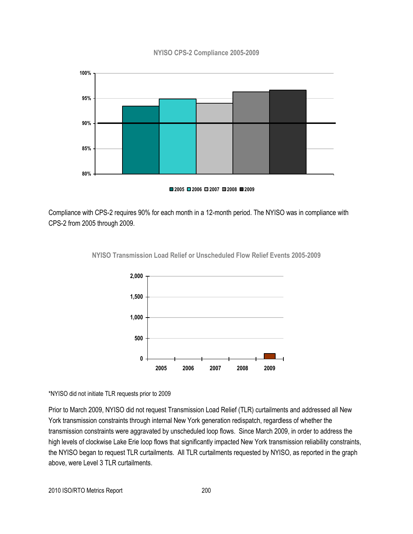#### **NYISO CPS-2 Compliance 2005-2009**



**2005 2006 2007 2008 2009**

Compliance with CPS-2 requires 90% for each month in a 12-month period. The NYISO was in compliance with CPS-2 from 2005 through 2009.



**NYISO Transmission Load Relief or Unscheduled Flow Relief Events 2005-2009**

\*NYISO did not initiate TLR requests prior to 2009

Prior to March 2009, NYISO did not request Transmission Load Relief (TLR) curtailments and addressed all New York transmission constraints through internal New York generation redispatch, regardless of whether the transmission constraints were aggravated by unscheduled loop flows. Since March 2009, in order to address the high levels of clockwise Lake Erie loop flows that significantly impacted New York transmission reliability constraints, the NYISO began to request TLR curtailments. All TLR curtailments requested by NYISO, as reported in the graph above, were Level 3 TLR curtailments.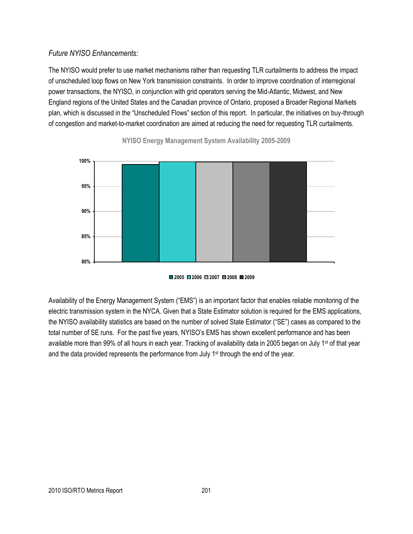## *Future NYISO Enhancements:*

The NYISO would prefer to use market mechanisms rather than requesting TLR curtailments to address the impact of unscheduled loop flows on New York transmission constraints. In order to improve coordination of interregional power transactions, the NYISO, in conjunction with grid operators serving the Mid-Atlantic, Midwest, and New England regions of the United States and the Canadian province of Ontario, proposed a Broader Regional Markets plan, which is discussed in the "Unscheduled Flows" section of this report. In particular, the initiatives on buy-through of congestion and market-to-market coordination are aimed at reducing the need for requesting TLR curtailments.



**NYISO Energy Management System Availability 2005-2009**



Availability of the Energy Management System ("EMS") is an important factor that enables reliable monitoring of the electric transmission system in the NYCA. Given that a State Estimator solution is required for the EMS applications, the NYISO availability statistics are based on the number of solved State Estimator ("SE") cases as compared to the total number of SE runs. For the past five years, NYISO's EMS has shown excellent performance and has been available more than 99% of all hours in each year. Tracking of availability data in 2005 began on July 1<sup>st</sup> of that year and the data provided represents the performance from July 1<sup>st</sup> through the end of the year.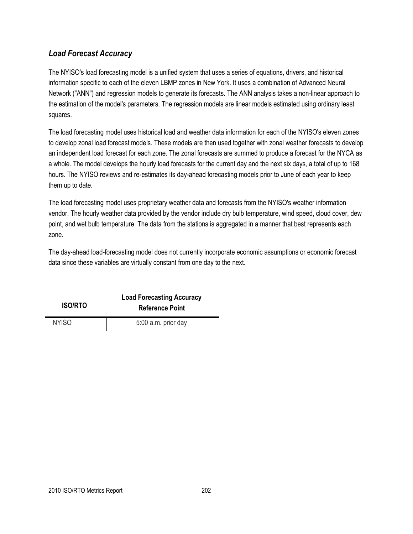## *Load Forecast Accuracy*

The NYISO's load forecasting model is a unified system that uses a series of equations, drivers, and historical information specific to each of the eleven LBMP zones in New York. It uses a combination of Advanced Neural Network ("ANN") and regression models to generate its forecasts. The ANN analysis takes a non-linear approach to the estimation of the model's parameters. The regression models are linear models estimated using ordinary least squares.

The load forecasting model uses historical load and weather data information for each of the NYISO's eleven zones to develop zonal load forecast models. These models are then used together with zonal weather forecasts to develop an independent load forecast for each zone. The zonal forecasts are summed to produce a forecast for the NYCA as a whole. The model develops the hourly load forecasts for the current day and the next six days, a total of up to 168 hours. The NYISO reviews and re-estimates its day-ahead forecasting models prior to June of each year to keep them up to date.

The load forecasting model uses proprietary weather data and forecasts from the NYISO's weather information vendor. The hourly weather data provided by the vendor include dry bulb temperature, wind speed, cloud cover, dew point, and wet bulb temperature. The data from the stations is aggregated in a manner that best represents each zone.

The day-ahead load-forecasting model does not currently incorporate economic assumptions or economic forecast data since these variables are virtually constant from one day to the next.

| <b>ISO/RTO</b> | <b>Load Forecasting Accuracy</b><br><b>Reference Point</b> |
|----------------|------------------------------------------------------------|
| NYISO.         | 5:00 a.m. prior day                                        |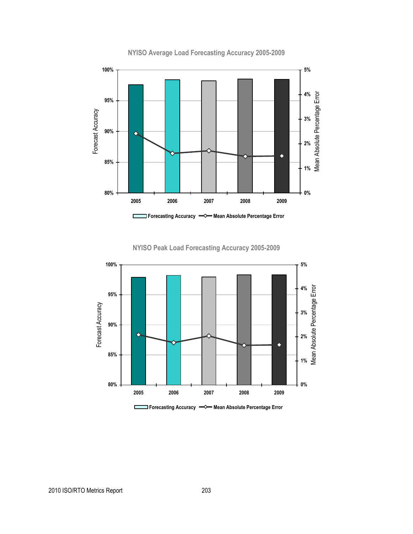

**NYISO Average Load Forecasting Accuracy 2005-2009**

**NYISO Peak Load Forecasting Accuracy 2005-2009**



**Forecasting Accuracy**  $\implies$  **Mean Absolute Percentage Error**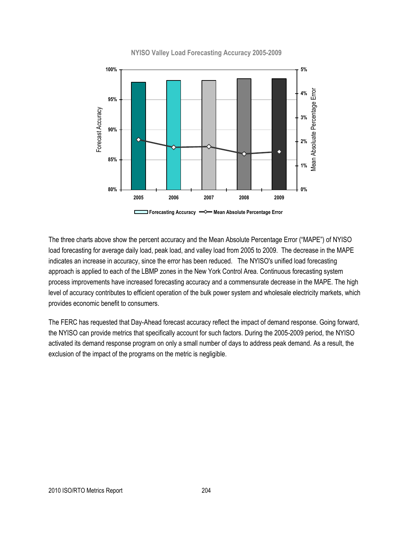

**NYISO Valley Load Forecasting Accuracy 2005-2009**

The three charts above show the percent accuracy and the Mean Absolute Percentage Error ("MAPE") of NYISO load forecasting for average daily load, peak load, and valley load from 2005 to 2009. The decrease in the MAPE indicates an increase in accuracy, since the error has been reduced. The NYISO's unified load forecasting approach is applied to each of the LBMP zones in the New York Control Area. Continuous forecasting system process improvements have increased forecasting accuracy and a commensurate decrease in the MAPE. The high level of accuracy contributes to efficient operation of the bulk power system and wholesale electricity markets, which provides economic benefit to consumers.

The FERC has requested that Day-Ahead forecast accuracy reflect the impact of demand response. Going forward, the NYISO can provide metrics that specifically account for such factors. During the 2005-2009 period, the NYISO activated its demand response program on only a small number of days to address peak demand. As a result, the exclusion of the impact of the programs on the metric is negligible.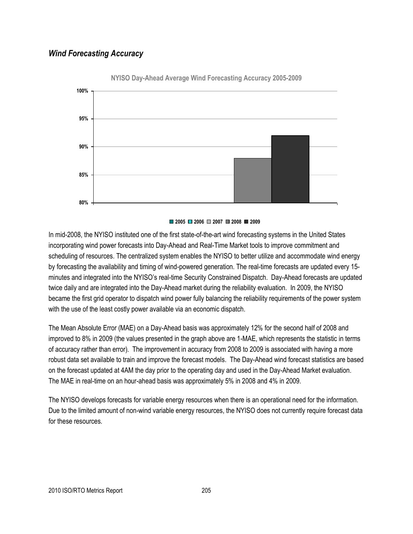## *Wind Forecasting Accuracy*



**NYISO Day-Ahead Average Wind Forecasting Accuracy 2005-2009**

#### **2005 2006 2007 2008 2009**

In mid-2008, the NYISO instituted one of the first state-of-the-art wind forecasting systems in the United States incorporating wind power forecasts into Day-Ahead and Real-Time Market tools to improve commitment and scheduling of resources. The centralized system enables the NYISO to better utilize and accommodate wind energy by forecasting the availability and timing of wind-powered generation. The real-time forecasts are updated every 15 minutes and integrated into the NYISO's real-time Security Constrained Dispatch. Day-Ahead forecasts are updated twice daily and are integrated into the Day-Ahead market during the reliability evaluation. In 2009, the NYISO became the first grid operator to dispatch wind power fully balancing the reliability requirements of the power system with the use of the least costly power available via an economic dispatch.

The Mean Absolute Error (MAE) on a Day-Ahead basis was approximately 12% for the second half of 2008 and improved to 8% in 2009 (the values presented in the graph above are 1-MAE, which represents the statistic in terms of accuracy rather than error). The improvement in accuracy from 2008 to 2009 is associated with having a more robust data set available to train and improve the forecast models. The Day-Ahead wind forecast statistics are based on the forecast updated at 4AM the day prior to the operating day and used in the Day-Ahead Market evaluation. The MAE in real-time on an hour-ahead basis was approximately 5% in 2008 and 4% in 2009.

The NYISO develops forecasts for variable energy resources when there is an operational need for the information. Due to the limited amount of non-wind variable energy resources, the NYISO does not currently require forecast data for these resources.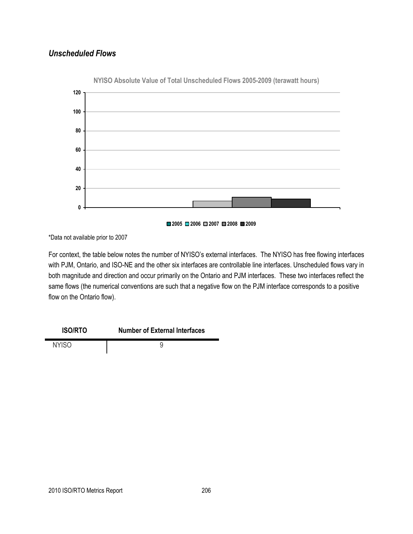## *Unscheduled Flows*



**NYISO Absolute Value of Total Unscheduled Flows 2005-2009 (terawatt hours)**

\*Data not available prior to 2007

For context, the table below notes the number of NYISO's external interfaces. The NYISO has free flowing interfaces with PJM, Ontario, and ISO-NE and the other six interfaces are controllable line interfaces. Unscheduled flows vary in both magnitude and direction and occur primarily on the Ontario and PJM interfaces. These two interfaces reflect the same flows (the numerical conventions are such that a negative flow on the PJM interface corresponds to a positive flow on the Ontario flow).



NYISO 9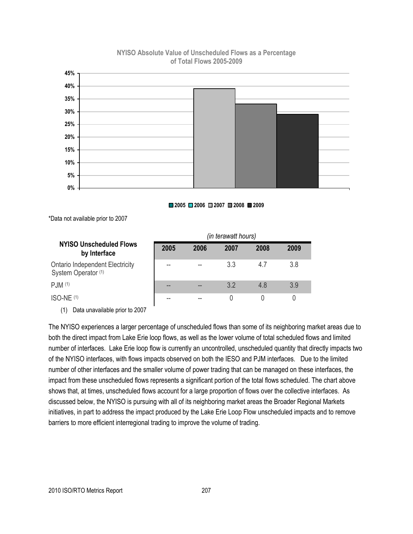#### **NYISO Absolute Value of Unscheduled Flows as a Percentage of Total Flows 2005-2009**



#### **2005 2006 2007 2008 2009**

\*Data not available prior to 2007

|                                                               | (in terawatt hours) |      |      |      |      |
|---------------------------------------------------------------|---------------------|------|------|------|------|
| NYISO Unscheduled Flows<br>by Interface                       | 2005                | 2006 | 2007 | 2008 | 2009 |
| <b>Ontario Independent Electricity</b><br>System Operator (1) | --                  |      | 3.3  | 47   | 3.8  |
| PJM (1)                                                       | --                  | --   | 32   | 48   | 3.9  |
| $ISO-NE(1)$                                                   |                     | --   |      |      |      |

(1) Data unavailable prior to 2007

The NYISO experiences a larger percentage of unscheduled flows than some of its neighboring market areas due to both the direct impact from Lake Erie loop flows, as well as the lower volume of total scheduled flows and limited number of interfaces. Lake Erie loop flow is currently an uncontrolled, unscheduled quantity that directly impacts two of the NYISO interfaces, with flows impacts observed on both the IESO and PJM interfaces. Due to the limited number of other interfaces and the smaller volume of power trading that can be managed on these interfaces, the impact from these unscheduled flows represents a significant portion of the total flows scheduled. The chart above shows that, at times, unscheduled flows account for a large proportion of flows over the collective interfaces. As discussed below, the NYISO is pursuing with all of its neighboring market areas the Broader Regional Markets initiatives, in part to address the impact produced by the Lake Erie Loop Flow unscheduled impacts and to remove barriers to more efficient interregional trading to improve the volume of trading.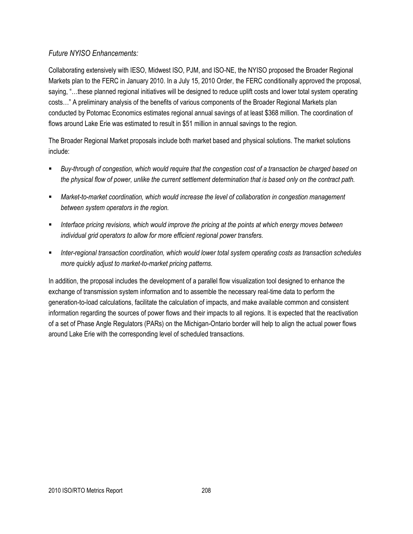## *Future NYISO Enhancements:*

Collaborating extensively with IESO, Midwest ISO, PJM, and ISO-NE, the NYISO proposed the Broader Regional Markets plan to the FERC in January 2010. In a July 15, 2010 Order, the FERC conditionally approved the proposal, saying, "...these planned regional initiatives will be designed to reduce uplift costs and lower total system operating costs…‖ A preliminary analysis of the benefits of various components of the Broader Regional Markets plan conducted by Potomac Economics estimates regional annual savings of at least \$368 million. The coordination of flows around Lake Erie was estimated to result in \$51 million in annual savings to the region.

The Broader Regional Market proposals include both market based and physical solutions. The market solutions include:

- *Buy-through of congestion, which would require that the congestion cost of a transaction be charged based on the physical flow of power, unlike the current settlement determination that is based only on the contract path.*
- *Market-to-market coordination, which would increase the level of collaboration in congestion management between system operators in the region.*
- *Interface pricing revisions, which would improve the pricing at the points at which energy moves between individual grid operators to allow for more efficient regional power transfers.*
- *Inter-regional transaction coordination, which would lower total system operating costs as transaction schedules more quickly adjust to market-to-market pricing patterns.*

In addition, the proposal includes the development of a parallel flow visualization tool designed to enhance the exchange of transmission system information and to assemble the necessary real-time data to perform the generation-to-load calculations, facilitate the calculation of impacts, and make available common and consistent information regarding the sources of power flows and their impacts to all regions. It is expected that the reactivation of a set of Phase Angle Regulators (PARs) on the Michigan-Ontario border will help to align the actual power flows around Lake Erie with the corresponding level of scheduled transactions.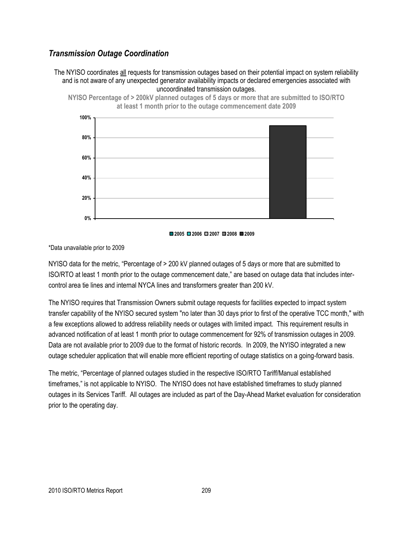## *Transmission Outage Coordination*

The NYISO coordinates all requests for transmission outages based on their potential impact on system reliability and is not aware of any unexpected generator availability impacts or declared emergencies associated with uncoordinated transmission outages.







#### \*Data unavailable prior to 2009

NYISO data for the metric, "Percentage of > 200 kV planned outages of 5 days or more that are submitted to ISO/RTO at least 1 month prior to the outage commencement date," are based on outage data that includes intercontrol area tie lines and internal NYCA lines and transformers greater than 200 kV.

The NYISO requires that Transmission Owners submit outage requests for facilities expected to impact system transfer capability of the NYISO secured system "no later than 30 days prior to first of the operative TCC month," with a few exceptions allowed to address reliability needs or outages with limited impact. This requirement results in advanced notification of at least 1 month prior to outage commencement for 92% of transmission outages in 2009. Data are not available prior to 2009 due to the format of historic records. In 2009, the NYISO integrated a new outage scheduler application that will enable more efficient reporting of outage statistics on a going-forward basis.

The metric, "Percentage of planned outages studied in the respective ISO/RTO Tariff/Manual established timeframes," is not applicable to NYISO. The NYISO does not have established timeframes to study planned outages in its Services Tariff. All outages are included as part of the Day-Ahead Market evaluation for consideration prior to the operating day.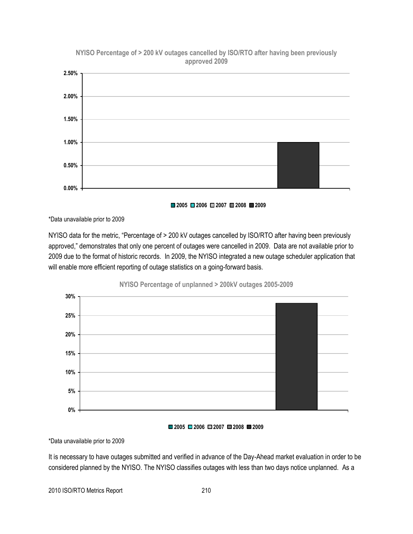

**NYISO Percentage of > 200 kV outages cancelled by ISO/RTO after having been previously approved 2009**

**2005 2006 2007 2008 2009**

\*Data unavailable prior to 2009

NYISO data for the metric, "Percentage of > 200 kV outages cancelled by ISO/RTO after having been previously approved," demonstrates that only one percent of outages were cancelled in 2009. Data are not available prior to 2009 due to the format of historic records. In 2009, the NYISO integrated a new outage scheduler application that will enable more efficient reporting of outage statistics on a going-forward basis.



#### **2005 2006 2007 2008 2009**

\*Data unavailable prior to 2009

It is necessary to have outages submitted and verified in advance of the Day-Ahead market evaluation in order to be considered planned by the NYISO. The NYISO classifies outages with less than two days notice unplanned. As a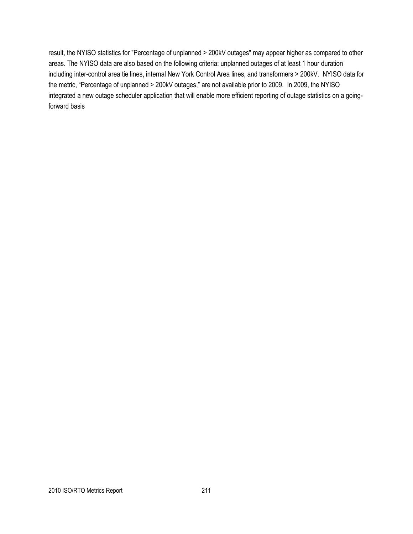result, the NYISO statistics for "Percentage of unplanned > 200kV outages" may appear higher as compared to other areas. The NYISO data are also based on the following criteria: unplanned outages of at least 1 hour duration including inter-control area tie lines, internal New York Control Area lines, and transformers > 200kV. NYISO data for the metric, "Percentage of unplanned > 200kV outages," are not available prior to 2009. In 2009, the NYISO integrated a new outage scheduler application that will enable more efficient reporting of outage statistics on a goingforward basis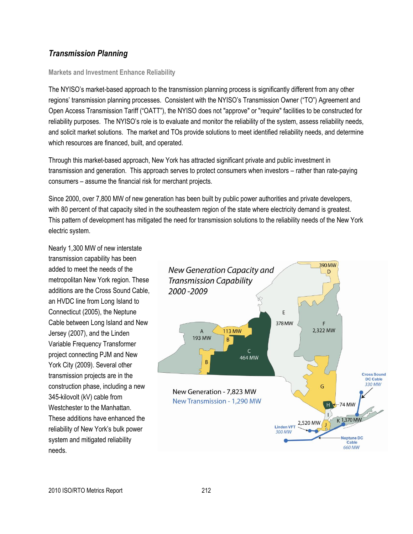## *Transmission Planning*

#### **Markets and Investment Enhance Reliability**

The NYISO's market-based approach to the transmission planning process is significantly different from any other regions' transmission planning processes. Consistent with the NYISO's Transmission Owner ("TO") Agreement and Open Access Transmission Tariff ("OATT"), the NYISO does not "approve" or "require" facilities to be constructed for reliability purposes. The NYISO's role is to evaluate and monitor the reliability of the system, assess reliability needs, and solicit market solutions. The market and TOs provide solutions to meet identified reliability needs, and determine which resources are financed, built, and operated.

Through this market-based approach, New York has attracted significant private and public investment in transmission and generation. This approach serves to protect consumers when investors – rather than rate-paying consumers – assume the financial risk for merchant projects.

Since 2000, over 7,800 MW of new generation has been built by public power authorities and private developers, with 80 percent of that capacity sited in the southeastern region of the state where electricity demand is greatest. This pattern of development has mitigated the need for transmission solutions to the reliability needs of the New York electric system.

Nearly 1,300 MW of new interstate transmission capability has been added to meet the needs of the metropolitan New York region. These additions are the Cross Sound Cable, an HVDC line from Long Island to Connecticut (2005), the Neptune Cable between Long Island and New Jersey (2007), and the Linden Variable Frequency Transformer project connecting PJM and New York City (2009). Several other transmission projects are in the construction phase, including a new 345-kilovolt (kV) cable from Westchester to the Manhattan. These additions have enhanced the reliability of New York's bulk power system and mitigated reliability needs.

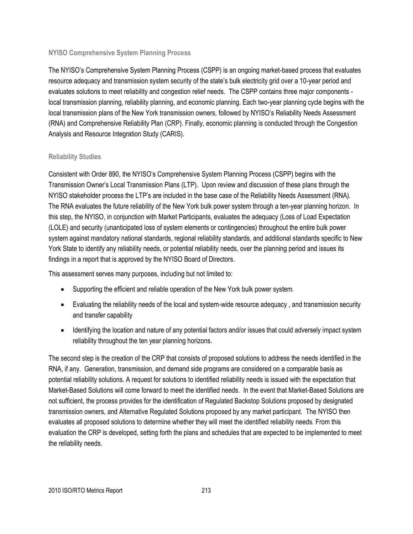#### **NYISO Comprehensive System Planning Process**

The NYISO's Comprehensive System Planning Process (CSPP) is an ongoing market-based process that evaluates resource adequacy and transmission system security of the state's bulk electricity grid over a 10-year period and evaluates solutions to meet reliability and congestion relief needs. The CSPP contains three major components local transmission planning, reliability planning, and economic planning. Each two-year planning cycle begins with the local transmission plans of the New York transmission owners, followed by NYISO's Reliability Needs Assessment (RNA) and Comprehensive Reliability Plan (CRP). Finally, economic planning is conducted through the Congestion Analysis and Resource Integration Study (CARIS).

#### **Reliability Studies**

Consistent with Order 890, the NYISO's Comprehensive System Planning Process (CSPP) begins with the Transmission Owner's Local Transmission Plans (LTP). Upon review and discussion of these plans through the NYISO stakeholder process the LTP's are included in the base case of the Reliability Needs Assessment (RNA). The RNA evaluates the future reliability of the New York bulk power system through a ten-year planning horizon. In this step, the NYISO, in conjunction with Market Participants, evaluates the adequacy (Loss of Load Expectation (LOLE) and security (unanticipated loss of system elements or contingencies) throughout the entire bulk power system against mandatory national standards, regional reliability standards, and additional standards specific to New York State to identify any reliability needs, or potential reliability needs, over the planning period and issues its findings in a report that is approved by the NYISO Board of Directors.

This assessment serves many purposes, including but not limited to:

- Supporting the efficient and reliable operation of the New York bulk power system.
- Evaluating the reliability needs of the local and system-wide resource adequacy , and transmission security and transfer capability
- Identifying the location and nature of any potential factors and/or issues that could adversely impact system reliability throughout the ten year planning horizons.

The second step is the creation of the CRP that consists of proposed solutions to address the needs identified in the RNA, if any. Generation, transmission, and demand side programs are considered on a comparable basis as potential reliability solutions. A request for solutions to identified reliability needs is issued with the expectation that Market-Based Solutions will come forward to meet the identified needs. In the event that Market-Based Solutions are not sufficient, the process provides for the identification of Regulated Backstop Solutions proposed by designated transmission owners, and Alternative Regulated Solutions proposed by any market participant. The NYISO then evaluates all proposed solutions to determine whether they will meet the identified reliability needs. From this evaluation the CRP is developed, setting forth the plans and schedules that are expected to be implemented to meet the reliability needs.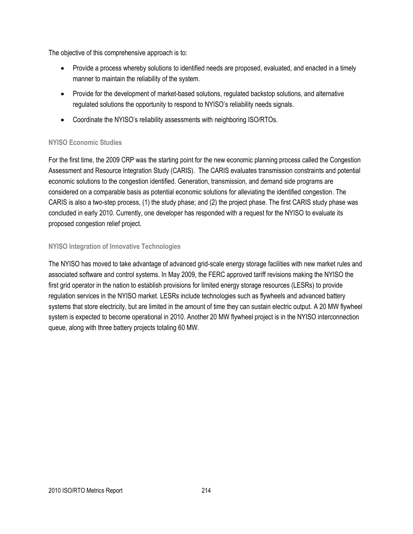The objective of this comprehensive approach is to:

- Provide a process whereby solutions to identified needs are proposed, evaluated, and enacted in a timely manner to maintain the reliability of the system.
- Provide for the development of market-based solutions, regulated backstop solutions, and alternative regulated solutions the opportunity to respond to NYISO's reliability needs signals.
- Coordinate the NYISO's reliability assessments with neighboring ISO/RTOs.

#### **NYISO Economic Studies**

For the first time, the 2009 CRP was the starting point for the new economic planning process called the Congestion Assessment and Resource Integration Study (CARIS). The CARIS evaluates transmission constraints and potential economic solutions to the congestion identified. Generation, transmission, and demand side programs are considered on a comparable basis as potential economic solutions for alleviating the identified congestion. The CARIS is also a two-step process, (1) the study phase; and (2) the project phase. The first CARIS study phase was concluded in early 2010. Currently, one developer has responded with a request for the NYISO to evaluate its proposed congestion relief project.

#### **NYISO Integration of Innovative Technologies**

The NYISO has moved to take advantage of advanced grid-scale energy storage facilities with new market rules and associated software and control systems. In May 2009, the FERC approved tariff revisions making the NYISO the first grid operator in the nation to establish provisions for limited energy storage resources (LESRs) to provide regulation services in the NYISO market. LESRs include technologies such as flywheels and advanced battery systems that store electricity, but are limited in the amount of time they can sustain electric output. A 20 MW flywheel system is expected to become operational in 2010. Another 20 MW flywheel project is in the NYISO interconnection queue, along with three battery projects totaling 60 MW.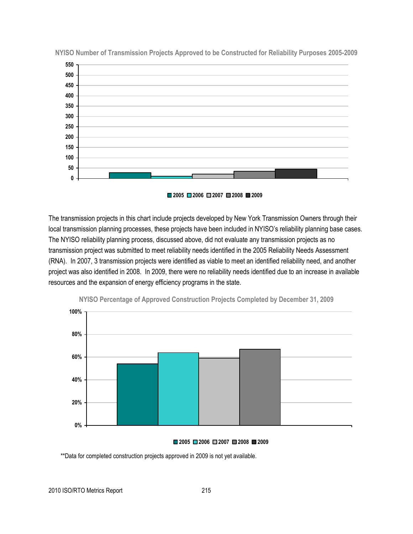

**NYISO Number of Transmission Projects Approved to be Constructed for Reliability Purposes 2005-2009**



The transmission projects in this chart include projects developed by New York Transmission Owners through their local transmission planning processes, these projects have been included in NYISO's reliability planning base cases. The NYISO reliability planning process, discussed above, did not evaluate any transmission projects as no transmission project was submitted to meet reliability needs identified in the 2005 Reliability Needs Assessment (RNA). In 2007, 3 transmission projects were identified as viable to meet an identified reliability need, and another project was also identified in 2008. In 2009, there were no reliability needs identified due to an increase in available resources and the expansion of energy efficiency programs in the state.



**NYISO Percentage of Approved Construction Projects Completed by December 31, 2009**

#### **2005 2006 2007 2008 2009**

\*\*Data for completed construction projects approved in 2009 is not yet available.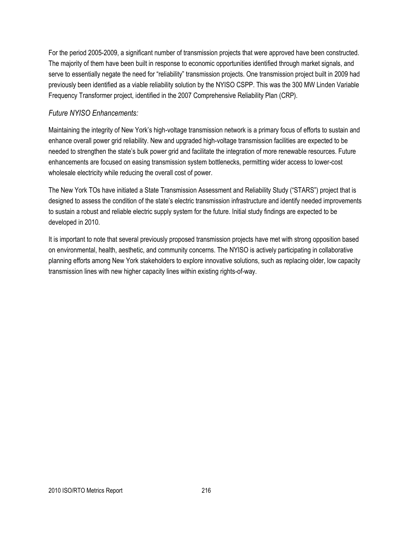For the period 2005-2009, a significant number of transmission projects that were approved have been constructed. The majority of them have been built in response to economic opportunities identified through market signals, and serve to essentially negate the need for "reliability" transmission projects. One transmission project built in 2009 had previously been identified as a viable reliability solution by the NYISO CSPP. This was the 300 MW Linden Variable Frequency Transformer project, identified in the 2007 Comprehensive Reliability Plan (CRP).

#### *Future NYISO Enhancements:*

Maintaining the integrity of New York's high-voltage transmission network is a primary focus of efforts to sustain and enhance overall power grid reliability. New and upgraded high-voltage transmission facilities are expected to be needed to strengthen the state's bulk power grid and facilitate the integration of more renewable resources. Future enhancements are focused on easing transmission system bottlenecks, permitting wider access to lower-cost wholesale electricity while reducing the overall cost of power.

The New York TOs have initiated a State Transmission Assessment and Reliability Study ("STARS") project that is designed to assess the condition of the state's electric transmission infrastructure and identify needed improvements to sustain a robust and reliable electric supply system for the future. Initial study findings are expected to be developed in 2010.

It is important to note that several previously proposed transmission projects have met with strong opposition based on environmental, health, aesthetic, and community concerns. The NYISO is actively participating in collaborative planning efforts among New York stakeholders to explore innovative solutions, such as replacing older, low capacity transmission lines with new higher capacity lines within existing rights-of-way.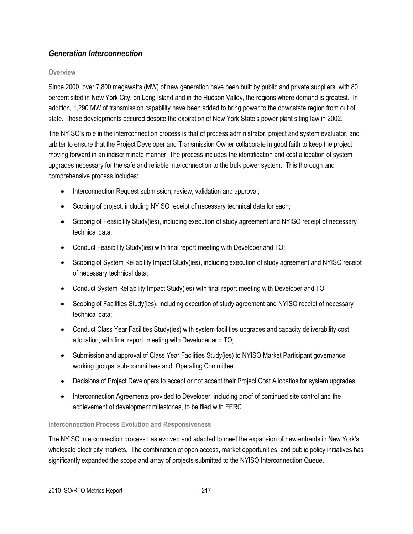## *Generation Interconnection*

#### **Overview**

Since 2000, over 7,800 megawatts (MW) of new generation have been built by public and private suppliers, with 80 percent sited in New York City, on Long Island and in the Hudson Valley, the regions where demand is greatest. In addition, 1,290 MW of transmission capability have been added to bring power to the downstate region from out of state. These developments occured despite the expiration of New York State's power plant siting law in 2002.

The NYISO's role in the interrconnection process is that of process administrator, project and system evaluator, and arbiter to ensure that the Project Developer and Transmission Owner collaborate in good faith to keep the project moving forward in an indiscriminate manner. The process includes the identification and cost allocation of system upgrades necessary for the safe and reliable interconnection to the bulk power system. This thorough and comprehensive process includes:

- Interconnection Request submission, review, validation and approval;
- Scoping of project, including NYISO receipt of necessary technical data for each;
- Scoping of Feasibility Study(ies), including execution of study agreement and NYISO receipt of necessary technical data;
- Conduct Feasibility Study(ies) with final report meeting with Developer and TO;
- Scoping of System Reliability Impact Study(ies), including execution of study agreement and NYISO receipt of necessary technical data;
- Conduct System Reliability Impact Study(ies) with final report meeting with Developer and TO;
- Scoping of Facilities Study(ies), including execution of study agreement and NYISO receipt of necessary technical data;
- Conduct Class Year Facilities Study(ies) with system facilities upgrades and capacity deliverability cost allocation, with final report meeting with Developer and TO;
- Submission and approval of Class Year Facilities Study(ies) to NYISO Market Participant governance working groups, sub-committees and Operating Committee.
- Decisions of Project Developers to accept or not accept their Project Cost Allocatios for system upgrades
- Interconnection Agreements provided to Developer, including proof of continued site control and the achievement of development milestones, to be filed with FERC

#### **Interconnection Process Evolution and Responsiveness**

The NYISO interconnection process has evolved and adapted to meet the expansion of new entrants in New York's wholesale electricity markets. The combination of open access, market opportunities, and public policy initiatives has significantly expanded the scope and array of projects submitted to the NYISO Interconnection Queue.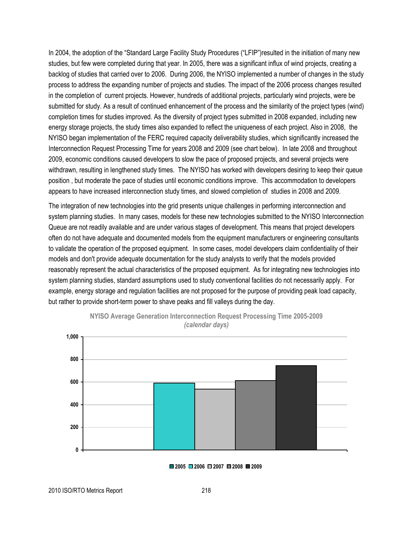In 2004, the adoption of the "Standard Large Facility Study Procedures ("LFIP")resulted in the initiation of many new studies, but few were completed during that year. In 2005, there was a significant influx of wind projects, creating a backlog of studies that carried over to 2006. During 2006, the NYISO implemented a number of changes in the study process to address the expanding number of projects and studies. The impact of the 2006 process changes resulted in the completion of current projects. However, hundreds of additional projects, particularly wind projects, were be submitted for study. As a result of continued enhancement of the process and the similarity of the project types (wind) completion times for studies improved. As the diversity of project types submitted in 2008 expanded, including new energy storage projects, the study times also expanded to reflect the uniqueness of each project. Also in 2008, the NYISO began implementation of the FERC required capacity deliverability studies, which significantly increased the Interconnection Request Processing Time for years 2008 and 2009 (see chart below). In late 2008 and throughout 2009, economic conditions caused developers to slow the pace of proposed projects, and several projects were withdrawn, resulting in lengthened study times. The NYISO has worked with developers desiring to keep their queue position , but moderate the pace of studies until economic conditions improve. This accommodation to developers appears to have increased interconnection study times, and slowed completion of studies in 2008 and 2009.

The integration of new technologies into the grid presents unique challenges in performing interconnection and system planning studies. In many cases, models for these new technologies submitted to the NYISO Interconnection Queue are not readily available and are under various stages of development. This means that project developers often do not have adequate and documented models from the equipment manufacturers or engineering consultants to validate the operation of the proposed equipment. In some cases, model developers claim confidentiality of their models and don't provide adequate documentation for the study analysts to verify that the models provided reasonably represent the actual characteristics of the proposed equipment. As for integrating new technologies into system planning studies, standard assumptions used to study conventional facilities do not necessarily apply. For example, energy storage and regulation facilities are not proposed for the purpose of providing peak load capacity, but rather to provide short-term power to shave peaks and fill valleys during the day.





**2005 2006 2007 2008 2009**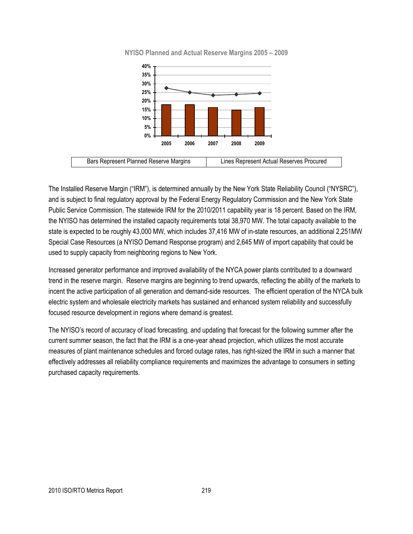

**NYISO Planned and Actual Reserve Margins 2005 – 2009**

The Installed Reserve Margin ("IRM"), is determined annually by the New York State Reliability Council ("NYSRC"), and is subject to final regulatory approval by the Federal Energy Regulatory Commission and the New York State Public Service Commission. The statewide IRM for the 2010/2011 capability year is 18 percent. Based on the IRM, the NYISO has determined the installed capacity requirements total 38,970 MW. The total capacity available to the state is expected to be roughly 43,000 MW, which includes 37,416 MW of in-state resources, an additional 2,251MW Special Case Resources (a NYISO Demand Response program) and 2,645 MW of import capability that could be used to supply capacity from neighboring regions to New York.

Increased generator performance and improved availability of the NYCA power plants contributed to a downward trend in the reserve margin. Reserve margins are beginning to trend upwards, reflecting the ability of the markets to incent the active participation of all generation and demand-side resources. The efficient operation of the NYCA bulk electric system and wholesale electricity markets has sustained and enhanced system reliability and successfully focused resource development in regions where demand is greatest.

The NYISO's record of accuracy of load forecasting, and updating that forecast for the following summer after the current summer season, the fact that the IRM is a one-year ahead projection, which utilizes the most accurate measures of plant maintenance schedules and forced outage rates, has right-sized the IRM in such a manner that effectively addresses all reliability compliance requirements and maximizes the advantage to consumers in setting purchased capacity requirements.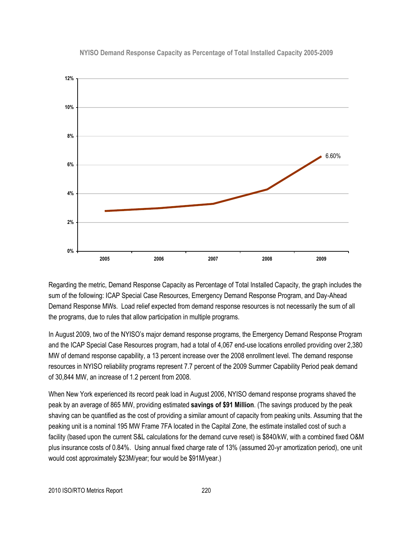#### **NYISO Demand Response Capacity as Percentage of Total Installed Capacity 2005-2009**



Regarding the metric, Demand Response Capacity as Percentage of Total Installed Capacity, the graph includes the sum of the following: ICAP Special Case Resources, Emergency Demand Response Program, and Day-Ahead Demand Response MWs. Load relief expected from demand response resources is not necessarily the sum of all the programs, due to rules that allow participation in multiple programs.

In August 2009, two of the NYISO's major demand response programs, the Emergency Demand Response Program and the ICAP Special Case Resources program, had a total of 4,067 end-use locations enrolled providing over 2,380 MW of demand response capability, a 13 percent increase over the 2008 enrollment level. The demand response resources in NYISO reliability programs represent 7.7 percent of the 2009 Summer Capability Period peak demand of 30,844 MW, an increase of 1.2 percent from 2008.

When New York experienced its record peak load in August 2006, NYISO demand response programs shaved the peak by an average of 865 MW, providing estimated **savings of \$91 Million**. (The savings produced by the peak shaving can be quantified as the cost of providing a similar amount of capacity from peaking units. Assuming that the peaking unit is a nominal 195 MW Frame 7FA located in the Capital Zone, the estimate installed cost of such a facility (based upon the current S&L calculations for the demand curve reset) is \$840/kW, with a combined fixed O&M plus insurance costs of 0.84%. Using annual fixed charge rate of 13% (assumed 20-yr amortization period), one unit would cost approximately \$23M/year; four would be \$91M/year.)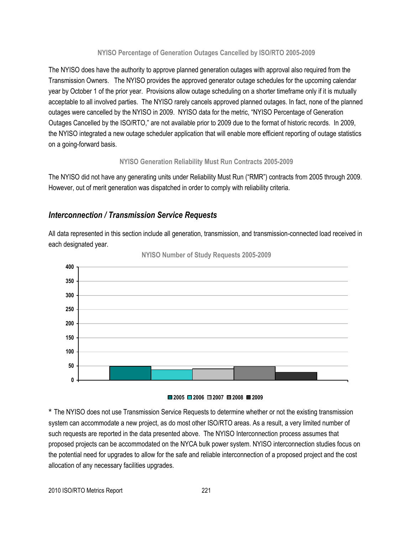#### **NYISO Percentage of Generation Outages Cancelled by ISO/RTO 2005-2009**

The NYISO does have the authority to approve planned generation outages with approval also required from the Transmission Owners. The NYISO provides the approved generator outage schedules for the upcoming calendar year by October 1 of the prior year. Provisions allow outage scheduling on a shorter timeframe only if it is mutually acceptable to all involved parties. The NYISO rarely cancels approved planned outages. In fact, none of the planned outages were cancelled by the NYISO in 2009. NYISO data for the metric, "NYISO Percentage of Generation Outages Cancelled by the ISO/RTO," are not available prior to 2009 due to the format of historic records. In 2009, the NYISO integrated a new outage scheduler application that will enable more efficient reporting of outage statistics on a going-forward basis.

#### **NYISO Generation Reliability Must Run Contracts 2005-2009**

The NYISO did not have any generating units under Reliability Must Run ("RMR") contracts from 2005 through 2009. However, out of merit generation was dispatched in order to comply with reliability criteria.

## *Interconnection / Transmission Service Requests*

All data represented in this section include all generation, transmission, and transmission-connected load received in each designated year.





#### **2005 2006 2007 2008 2009**

\* The NYISO does not use Transmission Service Requests to determine whether or not the existing transmission system can accommodate a new project, as do most other ISO/RTO areas. As a result, a very limited number of such requests are reported in the data presented above. The NYISO Interconnection process assumes that proposed projects can be accommodated on the NYCA bulk power system. NYISO interconnection studies focus on the potential need for upgrades to allow for the safe and reliable interconnection of a proposed project and the cost allocation of any necessary facilities upgrades.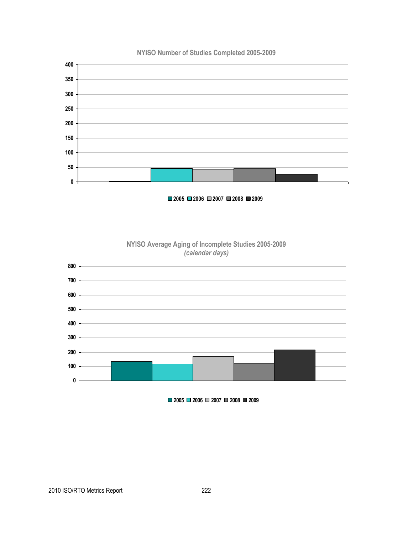

**2006 2007 2008 2009**



**NYISO Average Aging of Incomplete Studies 2005-2009** *(calendar days)*

**2006 2007 2008 2009**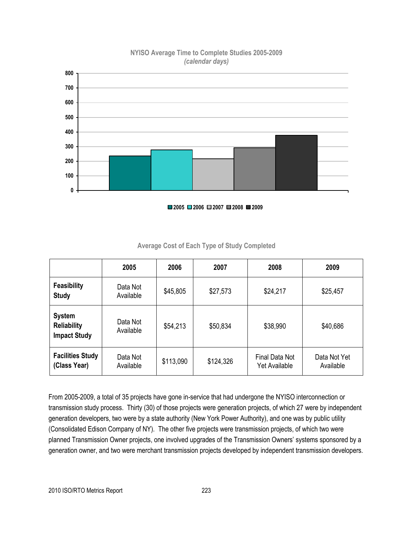

#### **NYISO Average Time to Complete Studies 2005-2009** *(calendar days)*

|  |  |  |  | $\Box$ 2005 $\Box$ 2006 $\Box$ 2007 $\Box$ 2008 $\Box$ 2009 |
|--|--|--|--|-------------------------------------------------------------|
|--|--|--|--|-------------------------------------------------------------|

|                                                            | 2005                  | 2006      | 2007      | 2008                            | 2009                      |
|------------------------------------------------------------|-----------------------|-----------|-----------|---------------------------------|---------------------------|
| <b>Feasibility</b><br><b>Study</b>                         | Data Not<br>Available | \$45,805  | \$27,573  | \$24,217                        | \$25,457                  |
| <b>System</b><br><b>Reliability</b><br><b>Impact Study</b> | Data Not<br>Available | \$54,213  | \$50,834  | \$38,990                        | \$40,686                  |
| <b>Facilities Study</b><br>(Class Year)                    | Data Not<br>Available | \$113,090 | \$124,326 | Final Data Not<br>Yet Available | Data Not Yet<br>Available |

#### **Average Cost of Each Type of Study Completed**

From 2005-2009, a total of 35 projects have gone in-service that had undergone the NYISO interconnection or transmission study process. Thirty (30) of those projects were generation projects, of which 27 were by independent generation developers, two were by a state authority (New York Power Authority), and one was by public utility (Consolidated Edison Company of NY). The other five projects were transmission projects, of which two were planned Transmission Owner projects, one involved upgrades of the Transmission Owners' systems sponsored by a generation owner, and two were merchant transmission projects developed by independent transmission developers.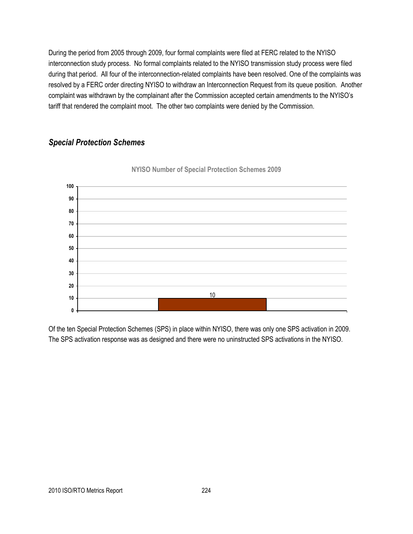During the period from 2005 through 2009, four formal complaints were filed at FERC related to the NYISO interconnection study process. No formal complaints related to the NYISO transmission study process were filed during that period. All four of the interconnection-related complaints have been resolved. One of the complaints was resolved by a FERC order directing NYISO to withdraw an Interconnection Request from its queue position. Another complaint was withdrawn by the complainant after the Commission accepted certain amendments to the NYISO's tariff that rendered the complaint moot. The other two complaints were denied by the Commission.

## *Special Protection Schemes*



**NYISO Number of Special Protection Schemes 2009**

Of the ten Special Protection Schemes (SPS) in place within NYISO, there was only one SPS activation in 2009. The SPS activation response was as designed and there were no uninstructed SPS activations in the NYISO.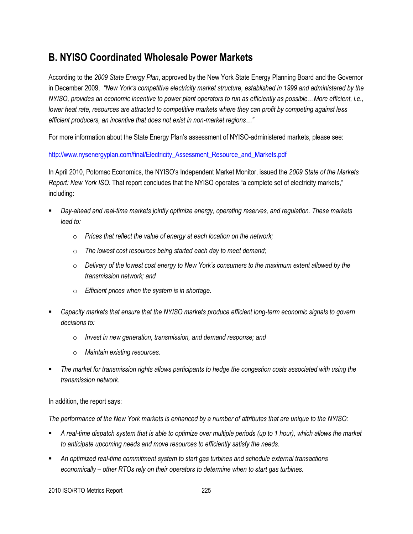## **B. NYISO Coordinated Wholesale Power Markets**

According to the *2009 State Energy Plan*, approved by the New York State Energy Planning Board and the Governor in December 2009, *"New York"s competitive electricity market structure, established in 1999 and administered by the NYISO, provides an economic incentive to power plant operators to run as efficiently as possible…More efficient, i.e., lower heat rate, resources are attracted to competitive markets where they can profit by competing against less efficient producers, an incentive that does not exist in non-market regions…"*

For more information about the State Energy Plan's assessment of NYISO-administered markets, please see:

[http://www.nysenergyplan.com/final/Electricity\\_Assessment\\_Resource\\_and\\_Markets.pdf](http://www.nysenergyplan.com/final/Electricity_Assessment_Resource_and_Markets.pdf)

In April 2010, Potomac Economics, the NYISO's Independent Market Monitor, issued the *2009 State of the Markets Report: New York ISO.* That report concludes that the NYISO operates "a complete set of electricity markets," including:

- *Day-ahead and real-time markets jointly optimize energy, operating reserves, and regulation. These markets lead to:*
	- o *Prices that reflect the value of energy at each location on the network;*
	- o *The lowest cost resources being started each day to meet demand;*
	- o *Delivery of the lowest cost energy to New York"s consumers to the maximum extent allowed by the transmission network; and*
	- o *Efficient prices when the system is in shortage.*
- *Capacity markets that ensure that the NYISO markets produce efficient long-term economic signals to govern decisions to:*
	- o *Invest in new generation, transmission, and demand response; and*
	- o *Maintain existing resources.*
- *The market for transmission rights allows participants to hedge the congestion costs associated with using the transmission network.*

In addition, the report says:

*The performance of the New York markets is enhanced by a number of attributes that are unique to the NYISO:*

- *A real-time dispatch system that is able to optimize over multiple periods (up to 1 hour), which allows the market to anticipate upcoming needs and move resources to efficiently satisfy the needs.*
- *An optimized real-time commitment system to start gas turbines and schedule external transactions economically – other RTOs rely on their operators to determine when to start gas turbines.*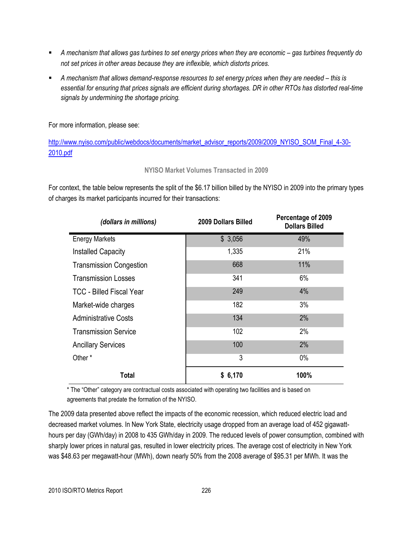- **A** mechanism that allows gas turbines to set energy prices when they are economic gas turbines frequently do *not set prices in other areas because they are inflexible, which distorts prices.*
- **A** mechanism that allows demand-response resources to set energy prices when they are needed this is *essential for ensuring that prices signals are efficient during shortages. DR in other RTOs has distorted real-time signals by undermining the shortage pricing.*

For more information, please see:

[http://www.nyiso.com/public/webdocs/documents/market\\_advisor\\_reports/2009/2009\\_NYISO\\_SOM\\_Final\\_4-30-](http://www.nyiso.com/public/webdocs/documents/market_advisor_reports/2009/2009_NYISO_SOM_Final_4-30-2010.pdf) [2010.pdf](http://www.nyiso.com/public/webdocs/documents/market_advisor_reports/2009/2009_NYISO_SOM_Final_4-30-2010.pdf)

#### **NYISO Market Volumes Transacted in 2009**

For context, the table below represents the split of the \$6.17 billion billed by the NYISO in 2009 into the primary types of charges its market participants incurred for their transactions:

| (dollars in millions)           | 2009 Dollars Billed | Percentage of 2009<br><b>Dollars Billed</b> |
|---------------------------------|---------------------|---------------------------------------------|
| <b>Energy Markets</b>           | \$3,056             | 49%                                         |
| <b>Installed Capacity</b>       | 1,335               | 21%                                         |
| <b>Transmission Congestion</b>  | 668                 | 11%                                         |
| <b>Transmission Losses</b>      | 341                 | 6%                                          |
| <b>TCC - Billed Fiscal Year</b> | 249                 | 4%                                          |
| Market-wide charges             | 182                 | 3%                                          |
| <b>Administrative Costs</b>     | 134                 | 2%                                          |
| <b>Transmission Service</b>     | 102                 | 2%                                          |
| <b>Ancillary Services</b>       | 100                 | 2%                                          |
| Other*                          | 3                   | $0\%$                                       |
| Total                           | \$6,170             | 100%                                        |

\* The "Other" category are contractual costs associated with operating two facilities and is based on agreements that predate the formation of the NYISO.

The 2009 data presented above reflect the impacts of the economic recession, which reduced electric load and decreased market volumes. In New York State, electricity usage dropped from an average load of 452 gigawatthours per day (GWh/day) in 2008 to 435 GWh/day in 2009. The reduced levels of power consumption, combined with sharply lower prices in natural gas, resulted in lower electricity prices. The average cost of electricity in New York was \$48.63 per megawatt-hour (MWh), down nearly 50% from the 2008 average of \$95.31 per MWh. It was the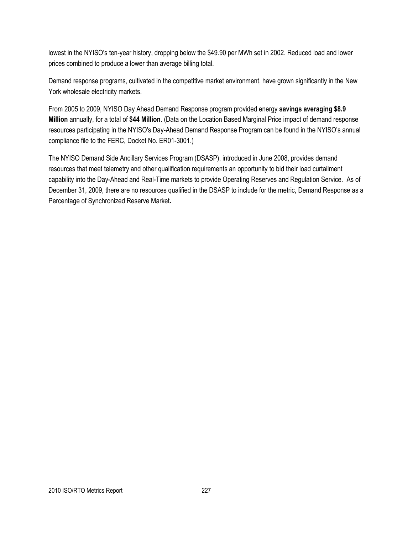lowest in the NYISO's ten-year history, dropping below the \$49.90 per MWh set in 2002. Reduced load and lower prices combined to produce a lower than average billing total.

Demand response programs, cultivated in the competitive market environment, have grown significantly in the New York wholesale electricity markets.

From 2005 to 2009, NYISO Day Ahead Demand Response program provided energy **savings averaging \$8.9 Million** annually, for a total of **\$44 Million**. (Data on the Location Based Marginal Price impact of demand response resources participating in the NYISO's Day-Ahead Demand Response Program can be found in the NYISO's annual compliance file to the FERC, Docket No. ER01-3001.)

The NYISO Demand Side Ancillary Services Program (DSASP), introduced in June 2008, provides demand resources that meet telemetry and other qualification requirements an opportunity to bid their load curtailment capability into the Day-Ahead and Real-Time markets to provide Operating Reserves and Regulation Service. As of December 31, 2009, there are no resources qualified in the DSASP to include for the metric, Demand Response as a Percentage of Synchronized Reserve Market**.**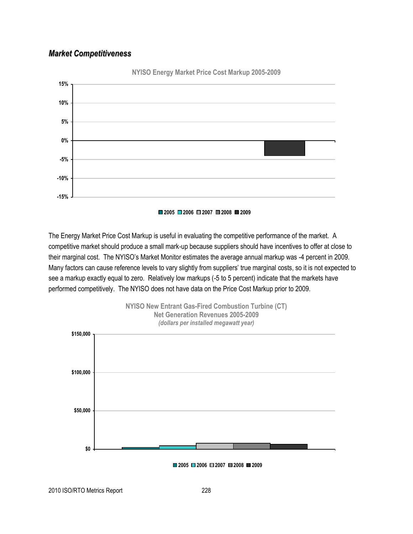## *Market Competitiveness*





The Energy Market Price Cost Markup is useful in evaluating the competitive performance of the market. A competitive market should produce a small mark-up because suppliers should have incentives to offer at close to their marginal cost. The NYISO's Market Monitor estimates the average annual markup was -4 percent in 2009. Many factors can cause reference levels to vary slightly from suppliers' true marginal costs, so it is not expected to see a markup exactly equal to zero. Relatively low markups (-5 to 5 percent) indicate that the markets have performed competitively. The NYISO does not have data on the Price Cost Markup prior to 2009.



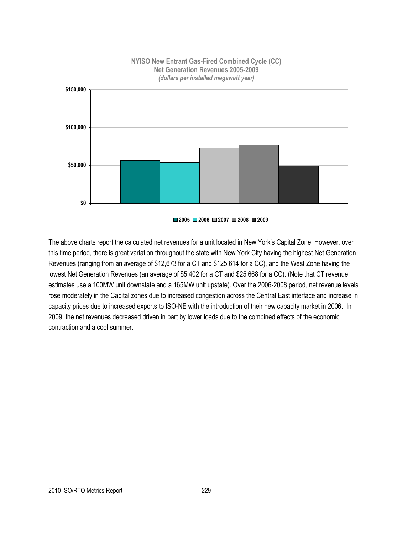

**2005 2006 2007 2008 2009**

The above charts report the calculated net revenues for a unit located in New York's Capital Zone. However, over this time period, there is great variation throughout the state with New York City having the highest Net Generation Revenues (ranging from an average of \$12,673 for a CT and \$125,614 for a CC), and the West Zone having the lowest Net Generation Revenues (an average of \$5,402 for a CT and \$25,668 for a CC). (Note that CT revenue estimates use a 100MW unit downstate and a 165MW unit upstate). Over the 2006-2008 period, net revenue levels rose moderately in the Capital zones due to increased congestion across the Central East interface and increase in capacity prices due to increased exports to ISO-NE with the introduction of their new capacity market in 2006. In 2009, the net revenues decreased driven in part by lower loads due to the combined effects of the economic contraction and a cool summer.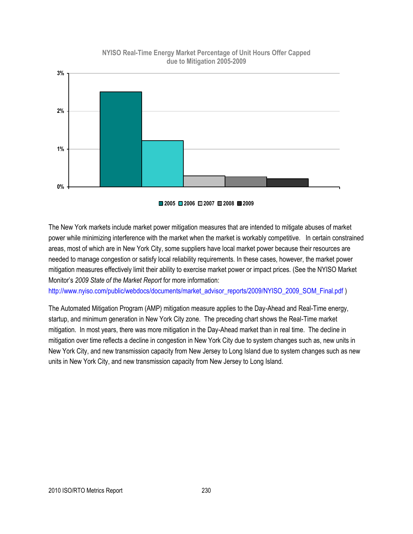

#### **NYISO Real-Time Energy Market Percentage of Unit Hours Offer Capped due to Mitigation 2005-2009**



The New York markets include market power mitigation measures that are intended to mitigate abuses of market power while minimizing interference with the market when the market is workably competitive. In certain constrained areas, most of which are in New York City, some suppliers have local market power because their resources are needed to manage congestion or satisfy local reliability requirements. In these cases, however, the market power mitigation measures effectively limit their ability to exercise market power or impact prices*.* (See the NYISO Market Monitor's *2009 State of the Market Report* for more information:

[http://www.nyiso.com/public/webdocs/documents/market\\_advisor\\_reports/2009/NYISO\\_2009\\_SOM\\_Final.pdf](http://www.nyiso.com/public/webdocs/documents/market_advisor_reports/2009/NYISO_2009_SOM_Final.pdf) )

The Automated Mitigation Program (AMP) mitigation measure applies to the Day-Ahead and Real-Time energy, startup, and minimum generation in New York City zone. The preceding chart shows the Real-Time market mitigation. In most years, there was more mitigation in the Day-Ahead market than in real time. The decline in mitigation over time reflects a decline in congestion in New York City due to system changes such as, new units in New York City, and new transmission capacity from New Jersey to Long Island due to system changes such as new units in New York City, and new transmission capacity from New Jersey to Long Island.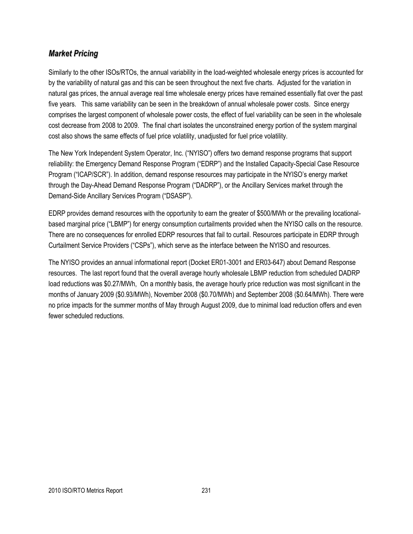## *Market Pricing*

Similarly to the other ISOs/RTOs, the annual variability in the load-weighted wholesale energy prices is accounted for by the variability of natural gas and this can be seen throughout the next five charts. Adjusted for the variation in natural gas prices, the annual average real time wholesale energy prices have remained essentially flat over the past five years. This same variability can be seen in the breakdown of annual wholesale power costs. Since energy comprises the largest component of wholesale power costs, the effect of fuel variability can be seen in the wholesale cost decrease from 2008 to 2009. The final chart isolates the unconstrained energy portion of the system marginal cost also shows the same effects of fuel price volatility, unadjusted for fuel price volatility.

The New York Independent System Operator, Inc. ("NYISO") offers two demand response programs that support reliability: the Emergency Demand Response Program ("EDRP") and the Installed Capacity-Special Case Resource Program ("ICAP/SCR"). In addition, demand response resources may participate in the NYISO's energy market through the Day-Ahead Demand Response Program ("DADRP"), or the Ancillary Services market through the Demand-Side Ancillary Services Program ("DSASP").

EDRP provides demand resources with the opportunity to earn the greater of \$500/MWh or the prevailing locationalbased marginal price ("LBMP") for energy consumption curtailments provided when the NYISO calls on the resource. There are no consequences for enrolled EDRP resources that fail to curtail. Resources participate in EDRP through Curtailment Service Providers ("CSPs"), which serve as the interface between the NYISO and resources.

The NYISO provides an annual informational report (Docket ER01-3001 and ER03-647) about Demand Response resources. The last report found that the overall average hourly wholesale LBMP reduction from scheduled DADRP load reductions was \$0.27/MWh, On a monthly basis, the average hourly price reduction was most significant in the months of January 2009 (\$0.93/MWh), November 2008 (\$0.70/MWh) and September 2008 (\$0.64/MWh). There were no price impacts for the summer months of May through August 2009, due to minimal load reduction offers and even fewer scheduled reductions.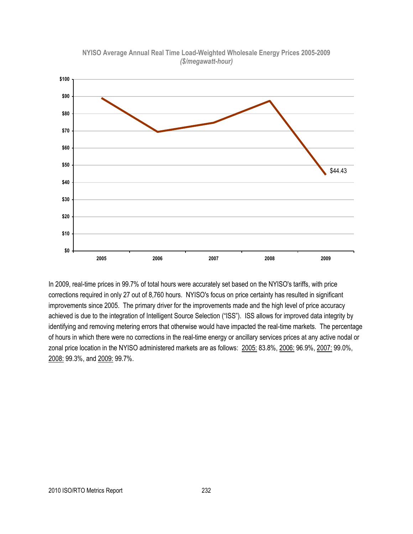

**NYISO Average Annual Real Time Load-Weighted Wholesale Energy Prices 2005-2009** *(\$/megawatt-hour)*

In 2009, real-time prices in 99.7% of total hours were accurately set based on the NYISO's tariffs, with price corrections required in only 27 out of 8,760 hours. NYISO's focus on price certainty has resulted in significant improvements since 2005. The primary driver for the improvements made and the high level of price accuracy achieved is due to the integration of Intelligent Source Selection ("ISS"). ISS allows for improved data integrity by identifying and removing metering errors that otherwise would have impacted the real-time markets. The percentage of hours in which there were no corrections in the real-time energy or ancillary services prices at any active nodal or zonal price location in the NYISO administered markets are as follows: 2005: 83.8%, 2006: 96.9%, 2007: 99.0%, 2008: 99.3%, and 2009: 99.7%.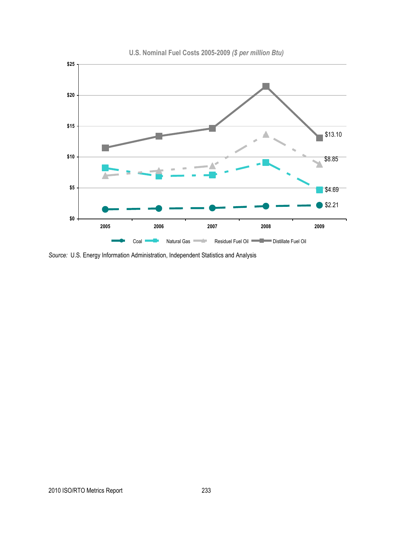

**U.S. Nominal Fuel Costs 2005-2009** *(\$ per million Btu)*

*Source:* U.S. Energy Information Administration, Independent Statistics and Analysis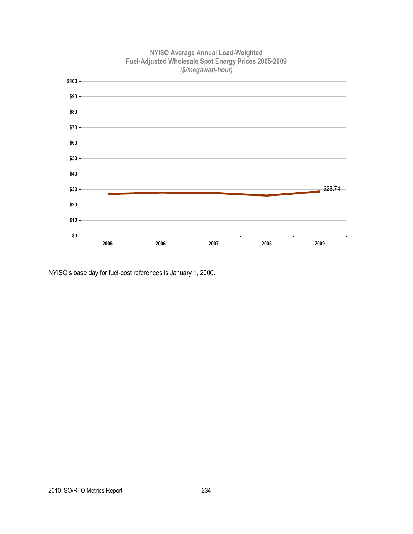

**NYISO Average Annual Load-Weighted Fuel-Adjusted Wholesale Spot Energy Prices 2005-2009**

NYISO's base day for fuel-cost references is January 1, 2000.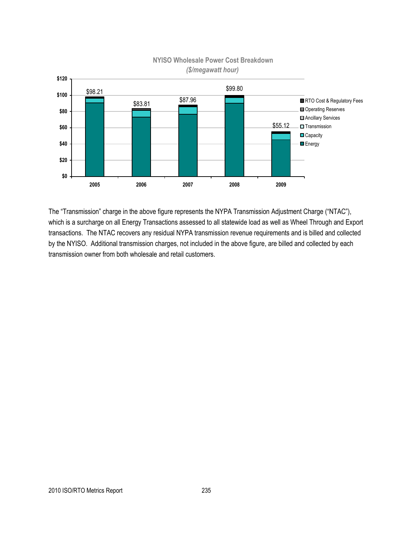

## *(\$/megawatt hour)*

The "Transmission" charge in the above figure represents the NYPA Transmission Adjustment Charge ("NTAC"), which is a surcharge on all Energy Transactions assessed to all statewide load as well as Wheel Through and Export transactions. The NTAC recovers any residual NYPA transmission revenue requirements and is billed and collected by the NYISO. Additional transmission charges, not included in the above figure, are billed and collected by each transmission owner from both wholesale and retail customers.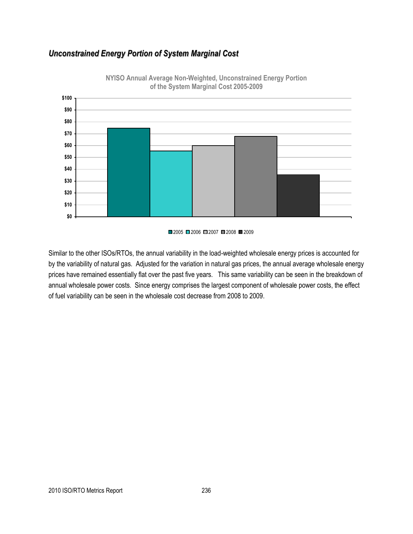## *Unconstrained Energy Portion of System Marginal Cost*



**NYISO Annual Average Non-Weighted, Unconstrained Energy Portion of the System Marginal Cost 2005-2009**

Similar to the other ISOs/RTOs, the annual variability in the load-weighted wholesale energy prices is accounted for by the variability of natural gas. Adjusted for the variation in natural gas prices, the annual average wholesale energy prices have remained essentially flat over the past five years. This same variability can be seen in the breakdown of annual wholesale power costs. Since energy comprises the largest component of wholesale power costs, the effect of fuel variability can be seen in the wholesale cost decrease from 2008 to 2009.

 $\Box$ 2005  $\Box$ 2006  $\Box$ 2007  $\Box$ 2008  $\Box$ 2009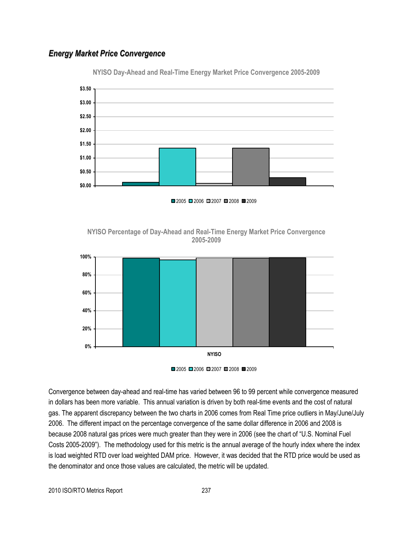## *Energy Market Price Convergence*



**NYISO Day-Ahead and Real-Time Energy Market Price Convergence 2005-2009**

■2005 ■2006 ■2007 ■2008 ■2009







Convergence between day-ahead and real-time has varied between 96 to 99 percent while convergence measured in dollars has been more variable. This annual variation is driven by both real-time events and the cost of natural gas. The apparent discrepancy between the two charts in 2006 comes from Real Time price outliers in May/June/July 2006. The different impact on the percentage convergence of the same dollar difference in 2006 and 2008 is because 2008 natural gas prices were much greater than they were in 2006 (see the chart of "U.S. Nominal Fuel Costs 2005-2009"). The methodology used for this metric is the annual average of the hourly index where the index is load weighted RTD over load weighted DAM price. However, it was decided that the RTD price would be used as the denominator and once those values are calculated, the metric will be updated.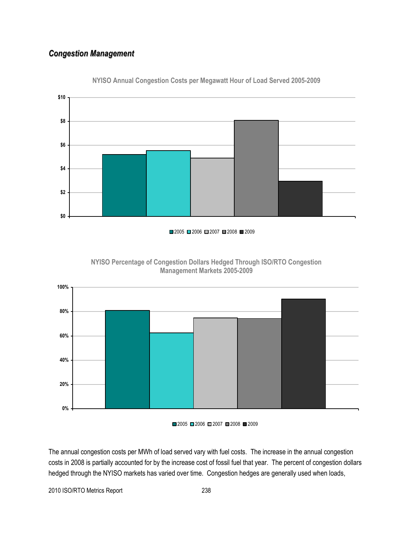## *Congestion Management*



**NYISO Annual Congestion Costs per Megawatt Hour of Load Served 2005-2009**







The annual congestion costs per MWh of load served vary with fuel costs. The increase in the annual congestion costs in 2008 is partially accounted for by the increase cost of fossil fuel that year. The percent of congestion dollars hedged through the NYISO markets has varied over time. Congestion hedges are generally used when loads,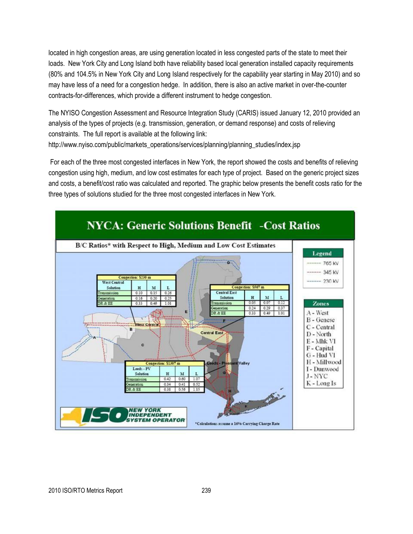located in high congestion areas, are using generation located in less congested parts of the state to meet their loads. New York City and Long Island both have reliability based local generation installed capacity requirements (80% and 104.5% in New York City and Long Island respectively for the capability year starting in May 2010) and so may have less of a need for a congestion hedge. In addition, there is also an active market in over-the-counter contracts-for-differences, which provide a different instrument to hedge congestion.

The NYISO Congestion Assessment and Resource Integration Study (CARIS) issued January 12, 2010 provided an analysis of the types of projects (e.g. transmission, generation, or demand response) and costs of relieving constraints. The full report is available at the following link: http://www.nyiso.com/public/markets\_operations/services/planning/planning\_studies/index.jsp

For each of the three most congested interfaces in New York, the report showed the costs and benefits of relieving congestion using high, medium, and low cost estimates for each type of project. Based on the generic project sizes and costs, a benefit/cost ratio was calculated and reported. The graphic below presents the benefit costs ratio for the three types of solutions studied for the three most congested interfaces in New York.

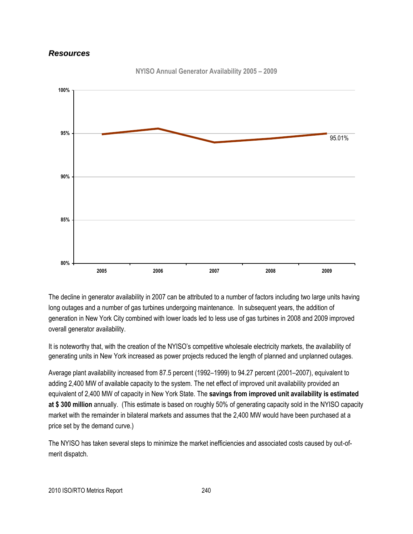### *Resources*



**NYISO Annual Generator Availability 2005 – 2009**

The decline in generator availability in 2007 can be attributed to a number of factors including two large units having long outages and a number of gas turbines undergoing maintenance. In subsequent years, the addition of generation in New York City combined with lower loads led to less use of gas turbines in 2008 and 2009 improved overall generator availability.

It is noteworthy that, with the creation of the NYISO's competitive wholesale electricity markets, the availability of generating units in New York increased as power projects reduced the length of planned and unplanned outages.

Average plant availability increased from 87.5 percent (1992–1999) to 94.27 percent (2001–2007), equivalent to adding 2,400 MW of available capacity to the system. The net effect of improved unit availability provided an equivalent of 2,400 MW of capacity in New York State. The **savings from improved unit availability is estimated at \$ 300 million** annually. (This estimate is based on roughly 50% of generating capacity sold in the NYISO capacity market with the remainder in bilateral markets and assumes that the 2,400 MW would have been purchased at a price set by the demand curve.)

The NYISO has taken several steps to minimize the market inefficiencies and associated costs caused by out-ofmerit dispatch.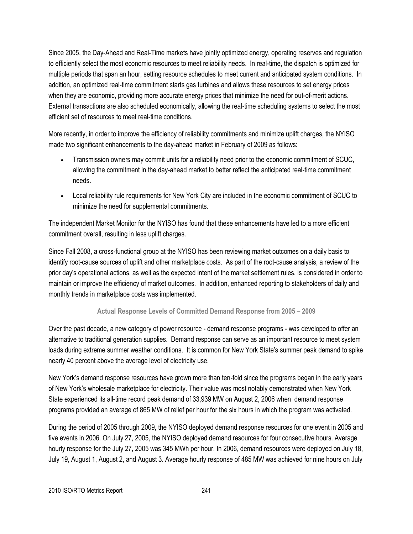Since 2005, the Day-Ahead and Real-Time markets have jointly optimized energy, operating reserves and regulation to efficiently select the most economic resources to meet reliability needs. In real-time, the dispatch is optimized for multiple periods that span an hour, setting resource schedules to meet current and anticipated system conditions. In addition, an optimized real-time commitment starts gas turbines and allows these resources to set energy prices when they are economic, providing more accurate energy prices that minimize the need for out-of-merit actions. External transactions are also scheduled economically, allowing the real-time scheduling systems to select the most efficient set of resources to meet real-time conditions.

More recently, in order to improve the efficiency of reliability commitments and minimize uplift charges, the NYISO made two significant enhancements to the day-ahead market in February of 2009 as follows:

- Transmission owners may commit units for a reliability need prior to the economic commitment of SCUC, allowing the commitment in the day-ahead market to better reflect the anticipated real-time commitment needs.
- Local reliability rule requirements for New York City are included in the economic commitment of SCUC to minimize the need for supplemental commitments.

The independent Market Monitor for the NYISO has found that these enhancements have led to a more efficient commitment overall, resulting in less uplift charges.

Since Fall 2008, a cross-functional group at the NYISO has been reviewing market outcomes on a daily basis to identify root-cause sources of uplift and other marketplace costs. As part of the root-cause analysis, a review of the prior day's operational actions, as well as the expected intent of the market settlement rules, is considered in order to maintain or improve the efficiency of market outcomes. In addition, enhanced reporting to stakeholders of daily and monthly trends in marketplace costs was implemented.

#### **Actual Response Levels of Committed Demand Response from 2005 – 2009**

Over the past decade, a new category of power resource - demand response programs - was developed to offer an alternative to traditional generation supplies. Demand response can serve as an important resource to meet system loads during extreme summer weather conditions. It is common for New York State's summer peak demand to spike nearly 40 percent above the average level of electricity use.

New York's demand response resources have grown more than ten-fold since the programs began in the early years of New York's wholesale marketplace for electricity. Their value was most notably demonstrated when New York State experienced its all-time record peak demand of 33,939 MW on August 2, 2006 when demand response programs provided an average of 865 MW of relief per hour for the six hours in which the program was activated.

During the period of 2005 through 2009, the NYISO deployed demand response resources for one event in 2005 and five events in 2006. On July 27, 2005, the NYISO deployed demand resources for four consecutive hours. Average hourly response for the July 27, 2005 was 345 MWh per hour. In 2006, demand resources were deployed on July 18, July 19, August 1, August 2, and August 3. Average hourly response of 485 MW was achieved for nine hours on July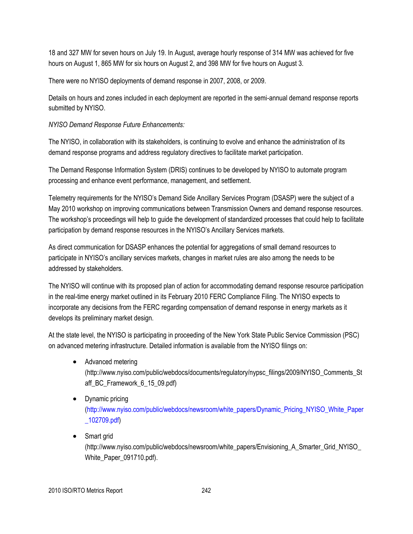18 and 327 MW for seven hours on July 19. In August, average hourly response of 314 MW was achieved for five hours on August 1, 865 MW for six hours on August 2, and 398 MW for five hours on August 3.

There were no NYISO deployments of demand response in 2007, 2008, or 2009.

Details on hours and zones included in each deployment are reported in the semi-annual demand response reports submitted by NYISO.

*NYISO Demand Response Future Enhancements:*

The NYISO, in collaboration with its stakeholders, is continuing to evolve and enhance the administration of its demand response programs and address regulatory directives to facilitate market participation.

The Demand Response Information System (DRIS) continues to be developed by NYISO to automate program processing and enhance event performance, management, and settlement.

Telemetry requirements for the NYISO's Demand Side Ancillary Services Program (DSASP) were the subject of a May 2010 workshop on improving communications between Transmission Owners and demand response resources. The workshop's proceedings will help to guide the development of standardized processes that could help to facilitate participation by demand response resources in the NYISO's Ancillary Services markets.

As direct communication for DSASP enhances the potential for aggregations of small demand resources to participate in NYISO's ancillary services markets, changes in market rules are also among the needs to be addressed by stakeholders.

The NYISO will continue with its proposed plan of action for accommodating demand response resource participation in the real-time energy market outlined in its February 2010 FERC Compliance Filing. The NYISO expects to incorporate any decisions from the FERC regarding compensation of demand response in energy markets as it develops its preliminary market design.

At the state level, the NYISO is participating in proceeding of the New York State Public Service Commission (PSC) on advanced metering infrastructure. Detailed information is available from the NYISO filings on:

- Advanced metering (http://www.nyiso.com/public/webdocs/documents/regulatory/nypsc\_filings/2009/NYISO\_Comments\_St aff\_BC\_Framework\_6\_15\_09.pdf)
- Dynamic pricing [\(http://www.nyiso.com/public/webdocs/newsroom/white\\_papers/Dynamic\\_Pricing\\_NYISO\\_White\\_Paper](http://www.nyiso.com/public/webdocs/newsroom/white_papers/Dynamic_Pricing_NYISO_White_Paper_102709.pdf) [\\_102709.pdf\)](http://www.nyiso.com/public/webdocs/newsroom/white_papers/Dynamic_Pricing_NYISO_White_Paper_102709.pdf)
- Smart grid

(http://www.nyiso.com/public/webdocs/newsroom/white\_papers/Envisioning\_A\_Smarter\_Grid\_NYISO\_ White\_Paper\_091710.pdf).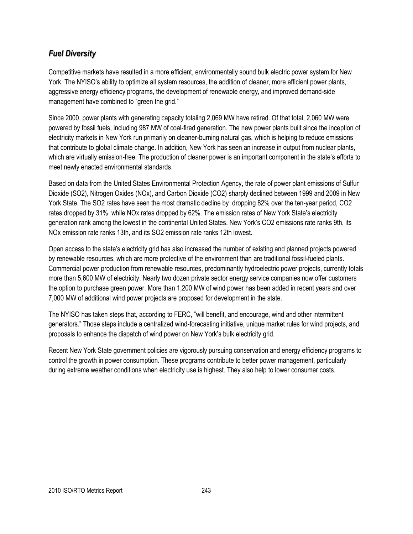## *Fuel Diversity*

Competitive markets have resulted in a more efficient, environmentally sound bulk electric power system for New York. The NYISO's ability to optimize all system resources, the addition of cleaner, more efficient power plants, aggressive energy efficiency programs, the development of renewable energy, and improved demand-side management have combined to "green the grid."

Since 2000, power plants with generating capacity totaling 2,069 MW have retired. Of that total, 2,060 MW were powered by fossil fuels, including 987 MW of coal-fired generation. The new power plants built since the inception of electricity markets in New York run primarily on cleaner-burning natural gas, which is helping to reduce emissions that contribute to global climate change. In addition, New York has seen an increase in output from nuclear plants, which are virtually emission-free. The production of cleaner power is an important component in the state's efforts to meet newly enacted environmental standards.

Based on data from the United States Environmental Protection Agency, the rate of power plant emissions of Sulfur Dioxide (SO2), Nitrogen Oxides (NOx), and Carbon Dioxide (CO2) sharply declined between 1999 and 2009 in New York State. The SO2 rates have seen the most dramatic decline by dropping 82% over the ten-year period, CO2 rates dropped by 31%, while NOx rates dropped by 62%. The emission rates of New York State's electricity generation rank among the lowest in the continental United States. New York's CO2 emissions rate ranks 9th, its NOx emission rate ranks 13th, and its SO2 emission rate ranks 12th lowest.

Open access to the state's electricity grid has also increased the number of existing and planned projects powered by renewable resources, which are more protective of the environment than are traditional fossil-fueled plants. Commercial power production from renewable resources, predominantly hydroelectric power projects, currently totals more than 5,600 MW of electricity. Nearly two dozen private sector energy service companies now offer customers the option to purchase green power. More than 1,200 MW of wind power has been added in recent years and over 7,000 MW of additional wind power projects are proposed for development in the state.

The NYISO has taken steps that, according to FERC, "will benefit, and encourage, wind and other intermittent generators.‖ Those steps include a centralized wind-forecasting initiative, unique market rules for wind projects, and proposals to enhance the dispatch of wind power on New York's bulk electricity grid.

Recent New York State government policies are vigorously pursuing conservation and energy efficiency programs to control the growth in power consumption. These programs contribute to better power management, particularly during extreme weather conditions when electricity use is highest. They also help to lower consumer costs.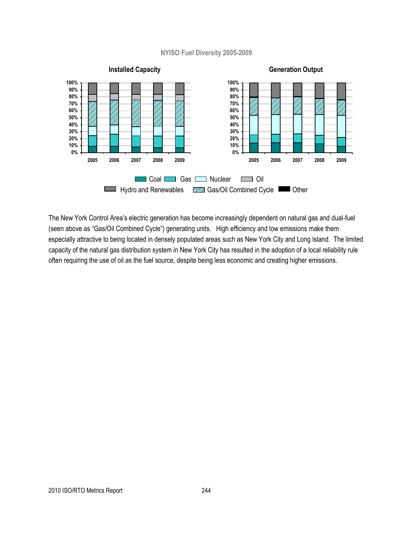#### **NYISO Fuel Diversity 2005-2009**



The New York Control Area's electric generation has become increasingly dependent on natural gas and dual-fuel (seen above as "Gas/Oil Combined Cycle") generating units. High efficiency and low emissions make them especially attractive to being located in densely populated areas such as New York City and Long Island. The limited capacity of the natural gas distribution system in New York City has resulted in the adoption of a local reliability rule often requiring the use of oil as the fuel source, despite being less economic and creating higher emissions.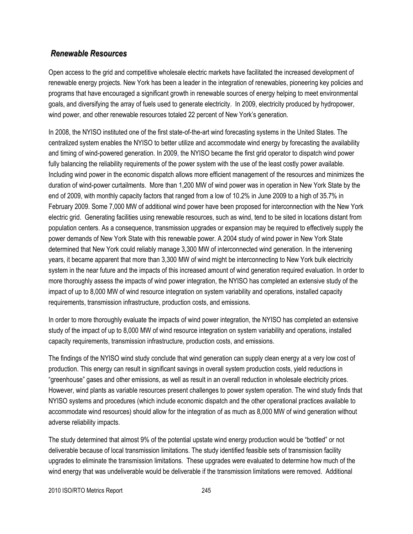## *Renewable Resources*

Open access to the grid and competitive wholesale electric markets have facilitated the increased development of renewable energy projects. New York has been a leader in the integration of renewables, pioneering key policies and programs that have encouraged a significant growth in renewable sources of energy helping to meet environmental goals, and diversifying the array of fuels used to generate electricity. In 2009, electricity produced by hydropower, wind power, and other renewable resources totaled 22 percent of New York's generation.

In 2008, the NYISO instituted one of the first state-of-the-art wind forecasting systems in the United States. The centralized system enables the NYISO to better utilize and accommodate wind energy by forecasting the availability and timing of wind-powered generation. In 2009, the NYISO became the first grid operator to dispatch wind power fully balancing the reliability requirements of the power system with the use of the least costly power available. Including wind power in the economic dispatch allows more efficient management of the resources and minimizes the duration of wind-power curtailments. More than 1,200 MW of wind power was in operation in New York State by the end of 2009, with monthly capacity factors that ranged from a low of 10.2% in June 2009 to a high of 35.7% in February 2009. Some 7,000 MW of additional wind power have been proposed for interconnection with the New York electric grid. Generating facilities using renewable resources, such as wind, tend to be sited in locations distant from population centers. As a consequence, transmission upgrades or expansion may be required to effectively supply the power demands of New York State with this renewable power. A 2004 study of wind power in New York State determined that New York could reliably manage 3,300 MW of interconnected wind generation. In the intervening years, it became apparent that more than 3,300 MW of wind might be interconnecting to New York bulk electricity system in the near future and the impacts of this increased amount of wind generation required evaluation. In order to more thoroughly assess the impacts of wind power integration, the NYISO has completed an extensive study of the impact of up to 8,000 MW of wind resource integration on system variability and operations, installed capacity requirements, transmission infrastructure, production costs, and emissions.

In order to more thoroughly evaluate the impacts of wind power integration, the NYISO has completed an extensive study of the impact of up to 8,000 MW of wind resource integration on system variability and operations, installed capacity requirements, transmission infrastructure, production costs, and emissions.

The findings of the NYISO wind study conclude that wind generation can supply clean energy at a very low cost of production. This energy can result in significant savings in overall system production costs, yield reductions in ―greenhouse‖ gases and other emissions, as well as result in an overall reduction in wholesale electricity prices. However, wind plants as variable resources present challenges to power system operation. The wind study finds that NYISO systems and procedures (which include economic dispatch and the other operational practices available to accommodate wind resources) should allow for the integration of as much as 8,000 MW of wind generation without adverse reliability impacts.

The study determined that almost 9% of the potential upstate wind energy production would be "bottled" or not deliverable because of local transmission limitations. The study identified feasible sets of transmission facility upgrades to eliminate the transmission limitations. These upgrades were evaluated to determine how much of the wind energy that was undeliverable would be deliverable if the transmission limitations were removed. Additional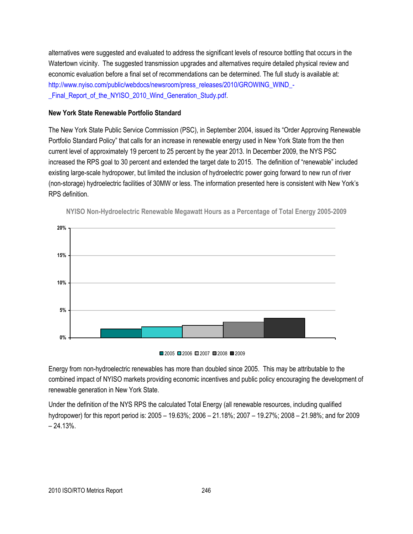alternatives were suggested and evaluated to address the significant levels of resource bottling that occurs in the Watertown vicinity. The suggested transmission upgrades and alternatives require detailed physical review and economic evaluation before a final set of recommendations can be determined. The full study is available at: [http://www.nyiso.com/public/webdocs/newsroom/press\\_releases/2010/GROWING\\_WIND\\_-](http://www.nyiso.com/public/webdocs/newsroom/press_releases/2010/GROWING_WIND_-_Final_Report_of_the_NYISO_2010_Wind_Generation_Study.pdf) Final Report of the NYISO 2010 Wind Generation Study.pdf.

#### **New York State Renewable Portfolio Standard**

The New York State Public Service Commission (PSC), in September 2004, issued its "Order Approving Renewable Portfolio Standard Policy" that calls for an increase in renewable energy used in New York State from the then current level of approximately 19 percent to 25 percent by the year 2013. In December 2009, the NYS PSC increased the RPS goal to 30 percent and extended the target date to 2015. The definition of "renewable" included existing large-scale hydropower, but limited the inclusion of hydroelectric power going forward to new run of river (non-storage) hydroelectric facilities of 30MW or less. The information presented here is consistent with New York's RPS definition.



**NYISO Non-Hydroelectric Renewable Megawatt Hours as a Percentage of Total Energy 2005-2009**

Energy from non-hydroelectric renewables has more than doubled since 2005. This may be attributable to the combined impact of NYISO markets providing economic incentives and public policy encouraging the development of renewable generation in New York State.

Under the definition of the NYS RPS the calculated Total Energy (all renewable resources, including qualified hydropower) for this report period is: 2005 – 19.63%; 2006 – 21.18%; 2007 – 19.27%; 2008 – 21.98%; and for 2009  $-24.13%$ 

<sup>■2005 ■2006 ■2007 ■2008 ■2009</sup>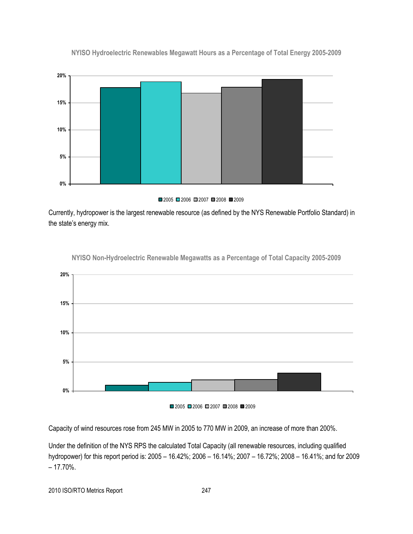

**NYISO Hydroelectric Renewables Megawatt Hours as a Percentage of Total Energy 2005-2009**



Currently, hydropower is the largest renewable resource (as defined by the NYS Renewable Portfolio Standard) in the state's energy mix.



**NYISO Non-Hydroelectric Renewable Megawatts as a Percentage of Total Capacity 2005-2009**

■2005 ■2006 ■2007 ■2008 ■2009

Capacity of wind resources rose from 245 MW in 2005 to 770 MW in 2009, an increase of more than 200%.

Under the definition of the NYS RPS the calculated Total Capacity (all renewable resources, including qualified hydropower) for this report period is: 2005 – 16.42%; 2006 – 16.14%; 2007 – 16.72%; 2008 – 16.41%; and for 2009  $-17.70%$ .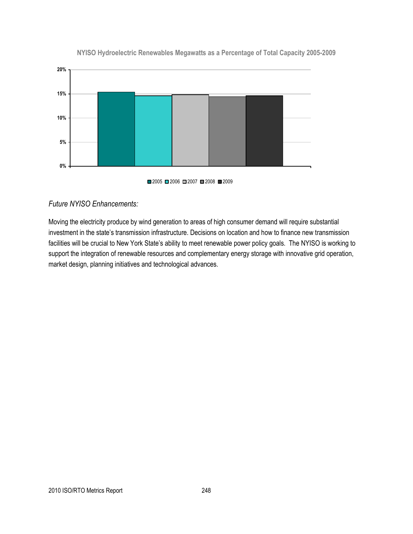

#### **NYISO Hydroelectric Renewables Megawatts as a Percentage of Total Capacity 2005-2009**

#### *Future NYISO Enhancements:*

Moving the electricity produce by wind generation to areas of high consumer demand will require substantial investment in the state's transmission infrastructure. Decisions on location and how to finance new transmission facilities will be crucial to New York State's ability to meet renewable power policy goals. The NYISO is working to support the integration of renewable resources and complementary energy storage with innovative grid operation, market design, planning initiatives and technological advances.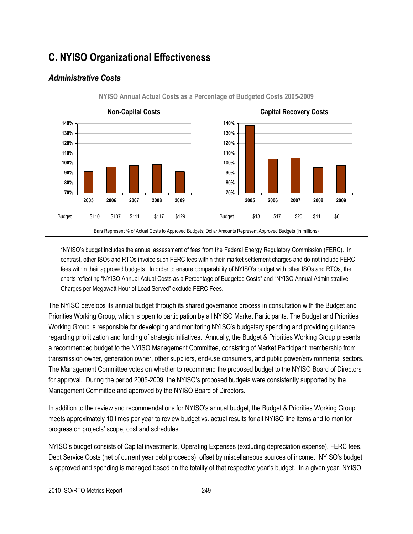## **C. NYISO Organizational Effectiveness**

## *Administrative Costs*



**NYISO Annual Actual Costs as a Percentage of Budgeted Costs 2005-2009**

\*NYISO's budget includes the annual assessment of fees from the Federal Energy Regulatory Commission (FERC). In contrast, other ISOs and RTOs invoice such FERC fees within their market settlement charges and do not include FERC fees within their approved budgets. In order to ensure comparability of NYISO's budget with other ISOs and RTOs, the charts reflecting "NYISO Annual Actual Costs as a Percentage of Budgeted Costs" and "NYISO Annual Administrative Charges per Megawatt Hour of Load Served" exclude FERC Fees.

The NYISO develops its annual budget through its shared governance process in consultation with the Budget and Priorities Working Group, which is open to participation by all NYISO Market Participants. The Budget and Priorities Working Group is responsible for developing and monitoring NYISO's budgetary spending and providing guidance regarding prioritization and funding of strategic initiatives. Annually, the Budget & Priorities Working Group presents a recommended budget to the NYISO Management Committee, consisting of Market Participant membership from transmission owner, generation owner, other suppliers, end-use consumers, and public power/environmental sectors. The Management Committee votes on whether to recommend the proposed budget to the NYISO Board of Directors for approval. During the period 2005-2009, the NYISO's proposed budgets were consistently supported by the Management Committee and approved by the NYISO Board of Directors.

In addition to the review and recommendations for NYISO's annual budget, the Budget & Priorities Working Group meets approximately 10 times per year to review budget vs. actual results for all NYISO line items and to monitor progress on projects' scope, cost and schedules.

NYISO's budget consists of Capital investments, Operating Expenses (excluding depreciation expense), FERC fees, Debt Service Costs (net of current year debt proceeds), offset by miscellaneous sources of income. NYISO's budget is approved and spending is managed based on the totality of that respective year's budget. In a given year, NYISO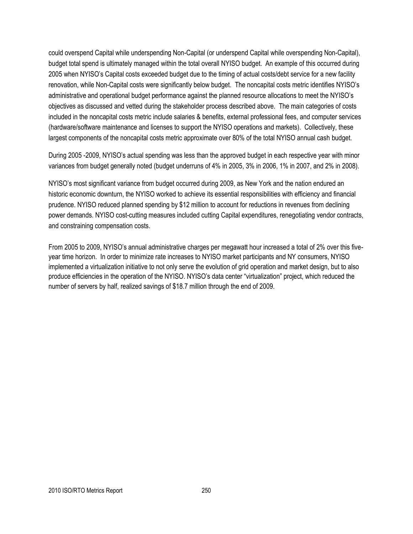could overspend Capital while underspending Non-Capital (or underspend Capital while overspending Non-Capital), budget total spend is ultimately managed within the total overall NYISO budget. An example of this occurred during 2005 when NYISO's Capital costs exceeded budget due to the timing of actual costs/debt service for a new facility renovation, while Non-Capital costs were significantly below budget. The noncapital costs metric identifies NYISO's administrative and operational budget performance against the planned resource allocations to meet the NYISO's objectives as discussed and vetted during the stakeholder process described above. The main categories of costs included in the noncapital costs metric include salaries & benefits, external professional fees, and computer services (hardware/software maintenance and licenses to support the NYISO operations and markets). Collectively, these largest components of the noncapital costs metric approximate over 80% of the total NYISO annual cash budget.

During 2005 -2009, NYISO's actual spending was less than the approved budget in each respective year with minor variances from budget generally noted (budget underruns of 4% in 2005, 3% in 2006, 1% in 2007, and 2% in 2008).

NYISO's most significant variance from budget occurred during 2009, as New York and the nation endured an historic economic downturn, the NYISO worked to achieve its essential responsibilities with efficiency and financial prudence. NYISO reduced planned spending by \$12 million to account for reductions in revenues from declining power demands. NYISO cost-cutting measures included cutting Capital expenditures, renegotiating vendor contracts, and constraining compensation costs.

From 2005 to 2009, NYISO's annual administrative charges per megawatt hour increased a total of 2% over this fiveyear time horizon. In order to minimize rate increases to NYISO market participants and NY consumers, NYISO implemented a virtualization initiative to not only serve the evolution of grid operation and market design, but to also produce efficiencies in the operation of the NYISO. NYISO's data center "virtualization" project, which reduced the number of servers by half, realized savings of \$18.7 million through the end of 2009.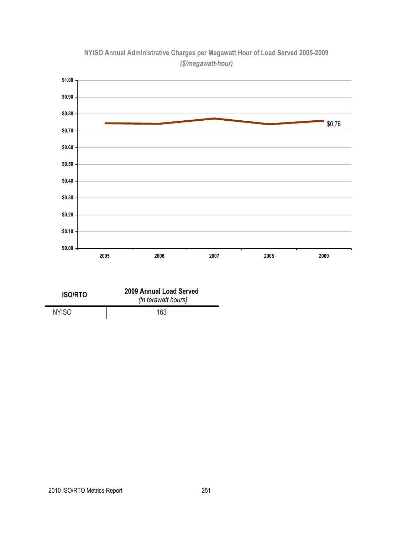

## **NYISO Annual Administrative Charges per Megawatt Hour of Load Served 2005-2009** *(\$/megawatt-hour)*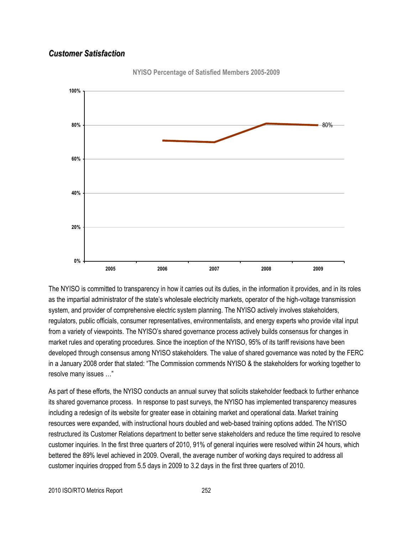## *Customer Satisfaction*



**NYISO Percentage of Satisfied Members 2005-2009**

The NYISO is committed to transparency in how it carries out its duties, in the information it provides, and in its roles as the impartial administrator of the state's wholesale electricity markets, operator of the high-voltage transmission system, and provider of comprehensive electric system planning. The NYISO actively involves stakeholders, regulators, public officials, consumer representatives, environmentalists, and energy experts who provide vital input from a variety of viewpoints. The NYISO's shared governance process actively builds consensus for changes in market rules and operating procedures. Since the inception of the NYISO, 95% of its tariff revisions have been developed through consensus among NYISO stakeholders. The value of shared governance was noted by the FERC in a January 2008 order that stated: "The Commission commends NYISO & the stakeholders for working together to resolve many issues ..."

As part of these efforts, the NYISO conducts an annual survey that solicits stakeholder feedback to further enhance its shared governance process. In response to past surveys, the NYISO has implemented transparency measures including a redesign of its website for greater ease in obtaining market and operational data. Market training resources were expanded, with instructional hours doubled and web-based training options added. The NYISO restructured its Customer Relations department to better serve stakeholders and reduce the time required to resolve customer inquiries. In the first three quarters of 2010, 91% of general inquiries were resolved within 24 hours, which bettered the 89% level achieved in 2009. Overall, the average number of working days required to address all customer inquiries dropped from 5.5 days in 2009 to 3.2 days in the first three quarters of 2010.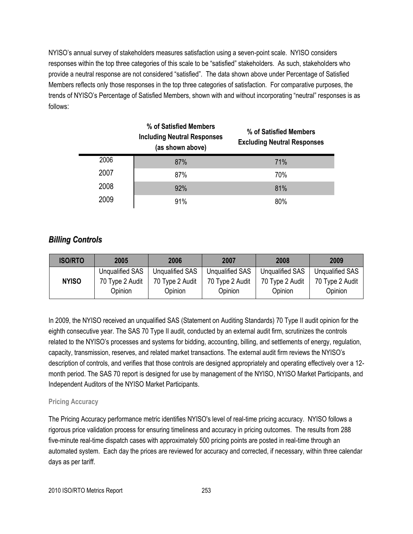NYISO's annual survey of stakeholders measures satisfaction using a seven-point scale. NYISO considers responses within the top three categories of this scale to be "satisfied" stakeholders. As such, stakeholders who provide a neutral response are not considered "satisfied". The data shown above under Percentage of Satisfied Members reflects only those responses in the top three categories of satisfaction. For comparative purposes, the trends of NYISO's Percentage of Satisfied Members, shown with and without incorporating "neutral" responses is as follows:

| % of Satisfied Members<br><b>Including Neutral Responses</b><br>(as shown above) |     | % of Satisfied Members<br><b>Excluding Neutral Responses</b> |
|----------------------------------------------------------------------------------|-----|--------------------------------------------------------------|
| 2006                                                                             | 87% | 71%                                                          |
| 2007                                                                             | 87% | 70%                                                          |
| 2008                                                                             | 92% | 81%                                                          |
| 2009                                                                             | 91% | 80%                                                          |

## *Billing Controls*

| <b>ISO/RTO</b> | 2005                       | 2006                       | 2007                       | 2008                       | 2009                       |
|----------------|----------------------------|----------------------------|----------------------------|----------------------------|----------------------------|
|                | <b>Unqualified SAS</b>     | Unqualified SAS            | <b>Unqualified SAS</b>     | Unqualified SAS            | <b>Unqualified SAS</b>     |
| <b>NYISO</b>   | 70 Type 2 Audit<br>Opinion | 70 Type 2 Audit<br>Opinion | 70 Type 2 Audit<br>Opinion | 70 Type 2 Audit<br>Opinion | 70 Type 2 Audit<br>Opinion |

In 2009, the NYISO received an unqualified SAS (Statement on Auditing Standards) 70 Type II audit opinion for the eighth consecutive year. The SAS 70 Type II audit, conducted by an external audit firm, scrutinizes the controls related to the NYISO's processes and systems for bidding, accounting, billing, and settlements of energy, regulation, capacity, transmission, reserves, and related market transactions. The external audit firm reviews the NYISO's description of controls, and verifies that those controls are designed appropriately and operating effectively over a 12 month period. The SAS 70 report is designed for use by management of the NYISO, NYISO Market Participants, and Independent Auditors of the NYISO Market Participants.

## **Pricing Accuracy**

The Pricing Accuracy performance metric identifies NYISO's level of real-time pricing accuracy. NYISO follows a rigorous price validation process for ensuring timeliness and accuracy in pricing outcomes. The results from 288 five-minute real-time dispatch cases with approximately 500 pricing points are posted in real-time through an automated system. Each day the prices are reviewed for accuracy and corrected, if necessary, within three calendar days as per tariff.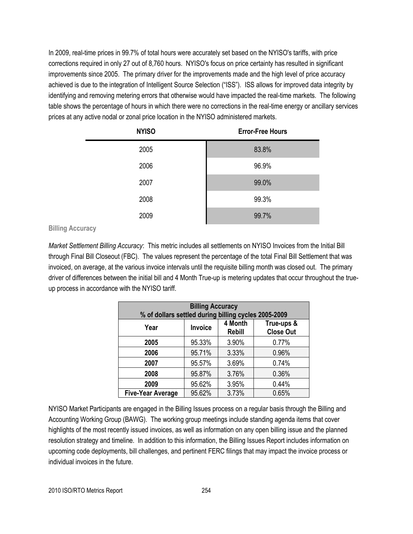In 2009, real-time prices in 99.7% of total hours were accurately set based on the NYISO's tariffs, with price corrections required in only 27 out of 8,760 hours. NYISO's focus on price certainty has resulted in significant improvements since 2005. The primary driver for the improvements made and the high level of price accuracy achieved is due to the integration of Intelligent Source Selection ("ISS"). ISS allows for improved data integrity by identifying and removing metering errors that otherwise would have impacted the real-time markets. The following table shows the percentage of hours in which there were no corrections in the real-time energy or ancillary services prices at any active nodal or zonal price location in the NYISO administered markets.

| <b>NYISO</b> | <b>Error-Free Hours</b> |
|--------------|-------------------------|
| 2005         | 83.8%                   |
| 2006         | 96.9%                   |
| 2007         | 99.0%                   |
| 2008         | 99.3%                   |
| 2009         | 99.7%                   |

**Billing Accuracy**

*Market Settlement Billing Accuracy*: This metric includes all settlements on NYISO Invoices from the Initial Bill through Final Bill Closeout (FBC). The values represent the percentage of the total Final Bill Settlement that was invoiced, on average, at the various invoice intervals until the requisite billing month was closed out. The primary driver of differences between the initial bill and 4 Month True-up is metering updates that occur throughout the trueup process in accordance with the NYISO tariff.

| <b>Billing Accuracy</b><br>% of dollars settled during billing cycles 2005-2009 |                |                          |                                |  |  |
|---------------------------------------------------------------------------------|----------------|--------------------------|--------------------------------|--|--|
| Year                                                                            | <b>Invoice</b> | 4 Month<br><b>Rebill</b> | True-ups &<br><b>Close Out</b> |  |  |
| 2005                                                                            | 95.33%         | 3.90%                    | 0.77%                          |  |  |
| 2006                                                                            | 95.71%         | 3.33%                    | 0.96%                          |  |  |
| 2007                                                                            | 95.57%         | 3.69%                    | 0.74%                          |  |  |
| 2008                                                                            | 95.87%         | 3.76%                    | 0.36%                          |  |  |
| 2009                                                                            | 95.62%         | 3.95%                    | 0.44%                          |  |  |
| <b>Five-Year Average</b>                                                        | 95.62%         | 3.73%                    | 0.65%                          |  |  |

NYISO Market Participants are engaged in the Billing Issues process on a regular basis through the Billing and Accounting Working Group (BAWG). The working group meetings include standing agenda items that cover highlights of the most recently issued invoices, as well as information on any open billing issue and the planned resolution strategy and timeline. In addition to this information, the Billing Issues Report includes information on upcoming code deployments, bill challenges, and pertinent FERC filings that may impact the invoice process or individual invoices in the future.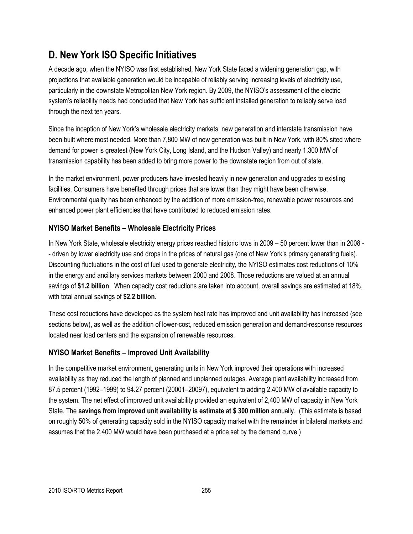## **D. New York ISO Specific Initiatives**

A decade ago, when the NYISO was first established, New York State faced a widening generation gap, with projections that available generation would be incapable of reliably serving increasing levels of electricity use, particularly in the downstate Metropolitan New York region. By 2009, the NYISO's assessment of the electric system's reliability needs had concluded that New York has sufficient installed generation to reliably serve load through the next ten years.

Since the inception of New York's wholesale electricity markets, new generation and interstate transmission have been built where most needed. More than 7,800 MW of new generation was built in New York, with 80% sited where demand for power is greatest (New York City, Long Island, and the Hudson Valley) and nearly 1,300 MW of transmission capability has been added to bring more power to the downstate region from out of state.

In the market environment, power producers have invested heavily in new generation and upgrades to existing facilities. Consumers have benefited through prices that are lower than they might have been otherwise. Environmental quality has been enhanced by the addition of more emission-free, renewable power resources and enhanced power plant efficiencies that have contributed to reduced emission rates.

## **NYISO Market Benefits – Wholesale Electricity Prices**

In New York State, wholesale electricity energy prices reached historic lows in 2009 – 50 percent lower than in 2008 - - driven by lower electricity use and drops in the prices of natural gas (one of New York's primary generating fuels). Discounting fluctuations in the cost of fuel used to generate electricity, the NYISO estimates cost reductions of 10% in the energy and ancillary services markets between 2000 and 2008. Those reductions are valued at an annual savings of **\$1.2 billion**. When capacity cost reductions are taken into account, overall savings are estimated at 18%, with total annual savings of **\$2.2 billion**.

These cost reductions have developed as the system heat rate has improved and unit availability has increased (see sections below), as well as the addition of lower-cost, reduced emission generation and demand-response resources located near load centers and the expansion of renewable resources.

## **NYISO Market Benefits – Improved Unit Availability**

In the competitive market environment, generating units in New York improved their operations with increased availability as they reduced the length of planned and unplanned outages. Average plant availability increased from 87.5 percent (1992–1999) to 94.27 percent (20001–20097), equivalent to adding 2,400 MW of available capacity to the system. The net effect of improved unit availability provided an equivalent of 2,400 MW of capacity in New York State. The **savings from improved unit availability is estimate at \$ 300 million** annually. (This estimate is based on roughly 50% of generating capacity sold in the NYISO capacity market with the remainder in bilateral markets and assumes that the 2,400 MW would have been purchased at a price set by the demand curve.)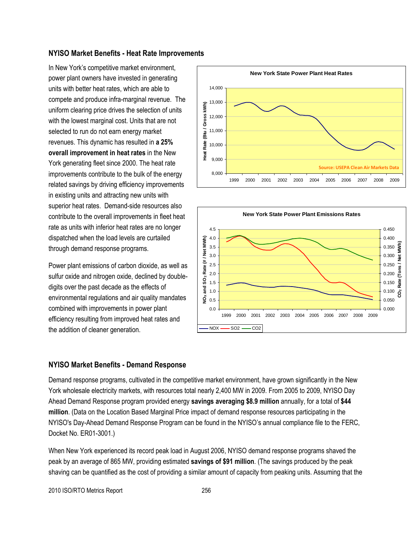#### **NYISO Market Benefits - Heat Rate Improvements**

In New York's competitive market environment, power plant owners have invested in generating units with better heat rates, which are able to compete and produce infra-marginal revenue. The uniform clearing price drives the selection of units with the lowest marginal cost. Units that are not selected to run do not earn energy market revenues. This dynamic has resulted in **a 25% overall improvement in heat rates** in the New York generating fleet since 2000. The heat rate improvements contribute to the bulk of the energy related savings by driving efficiency improvements in existing units and attracting new units with superior heat rates. Demand-side resources also contribute to the overall improvements in fleet heat rate as units with inferior heat rates are no longer dispatched when the load levels are curtailed through demand response programs.

Power plant emissions of carbon dioxide, as well as sulfur oxide and nitrogen oxide, declined by doubledigits over the past decade as the effects of environmental regulations and air quality mandates combined with improvements in power plant efficiency resulting from improved heat rates and the addition of cleaner generation.





#### **NYISO Market Benefits - Demand Response**

Demand response programs, cultivated in the competitive market environment, have grown significantly in the New York wholesale electricity markets, with resources total nearly 2,400 MW in 2009. From 2005 to 2009, NYISO Day Ahead Demand Response program provided energy **savings averaging \$8.9 million** annually, for a total of **\$44 million**. (Data on the Location Based Marginal Price impact of demand response resources participating in the NYISO's Day-Ahead Demand Response Program can be found in the NYISO's annual compliance file to the FERC, Docket No. ER01-3001.)

When New York experienced its record peak load in August 2006, NYISO demand response programs shaved the peak by an average of 865 MW, providing estimated **savings of \$91 million**. (The savings produced by the peak shaving can be quantified as the cost of providing a similar amount of capacity from peaking units. Assuming that the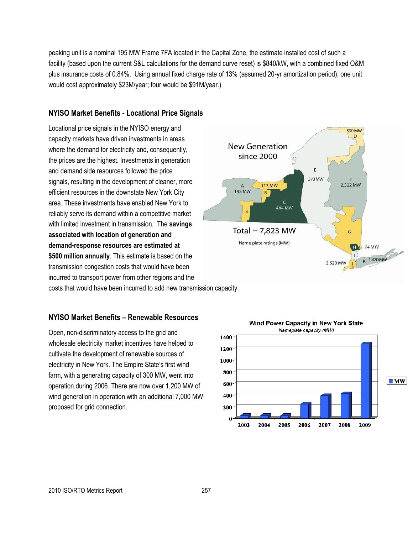peaking unit is a nominal 195 MW Frame 7FA located in the Capital Zone, the estimate installed cost of such a facility (based upon the current S&L calculations for the demand curve reset) is \$840/kW, with a combined fixed O&M plus insurance costs of 0.84%. Using annual fixed charge rate of 13% (assumed 20-yr amortization period), one unit would cost approximately \$23M/year; four would be \$91M/year.)

## **NYISO Market Benefits - Locational Price Signals**

Locational price signals in the NYISO energy and capacity markets have driven investments in areas where the demand for electricity and, consequently, the prices are the highest. Investments in generation and demand side resources followed the price signals, resulting in the development of cleaner, more efficient resources in the downstate New York City area. These investments have enabled New York to reliably serve its demand within a competitive market with limited investment in transmission. The **savings associated with location of generation and demand-response resources are estimated at \$500 million annually**. This estimate is based on the transmission congestion costs that would have been incurred to transport power from other regions and the costs that would have been incurred to add new transmission capacity.

## **NYISO Market Benefits – Renewable Resources**

Open, non-discriminatory access to the grid and wholesale electricity market incentives have helped to cultivate the development of renewable sources of electricity in New York. The Empire State's first wind farm, with a generating capacity of 300 MW, went into operation during 2006. There are now over 1,200 MW of wind generation in operation with an additional 7,000 MW proposed for grid connection.



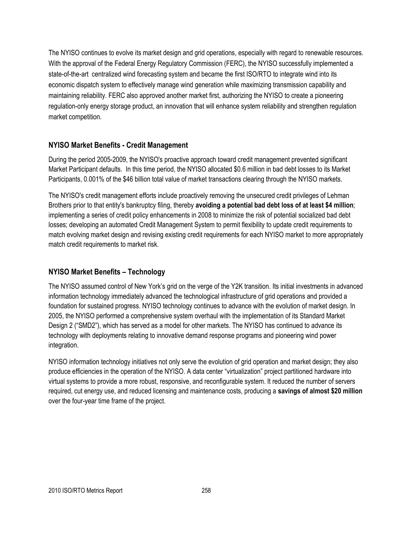The NYISO continues to evolve its market design and grid operations, especially with regard to renewable resources. With the approval of the Federal Energy Regulatory Commission (FERC), the NYISO successfully implemented a state-of-the-art centralized wind forecasting system and became the first ISO/RTO to integrate wind into its economic dispatch system to effectively manage wind generation while maximizing transmission capability and maintaining reliability. FERC also approved another market first, authorizing the NYISO to create a pioneering regulation-only energy storage product, an innovation that will enhance system reliability and strengthen regulation market competition.

## **NYISO Market Benefits - Credit Management**

During the period 2005-2009, the NYISO's proactive approach toward credit management prevented significant Market Participant defaults. In this time period, the NYISO allocated \$0.6 million in bad debt losses to its Market Participants, 0.001% of the \$46 billion total value of market transactions clearing through the NYISO markets.

The NYISO's credit management efforts include proactively removing the unsecured credit privileges of Lehman Brothers prior to that entity's bankruptcy filing, thereby **avoiding a potential bad debt loss of at least \$4 million**; implementing a series of credit policy enhancements in 2008 to minimize the risk of potential socialized bad debt losses; developing an automated Credit Management System to permit flexibility to update credit requirements to match evolving market design and revising existing credit requirements for each NYISO market to more appropriately match credit requirements to market risk.

## **NYISO Market Benefits – Technology**

The NYISO assumed control of New York's grid on the verge of the Y2K transition. Its initial investments in advanced information technology immediately advanced the technological infrastructure of grid operations and provided a foundation for sustained progress. NYISO technology continues to advance with the evolution of market design. In 2005, the NYISO performed a comprehensive system overhaul with the implementation of its Standard Market Design 2 ("SMD2"), which has served as a model for other markets. The NYISO has continued to advance its technology with deployments relating to innovative demand response programs and pioneering wind power integration.

NYISO information technology initiatives not only serve the evolution of grid operation and market design; they also produce efficiencies in the operation of the NYISO. A data center "virtualization" project partitioned hardware into virtual systems to provide a more robust, responsive, and reconfigurable system. It reduced the number of servers required, cut energy use, and reduced licensing and maintenance costs, producing a **savings of almost \$20 million**  over the four-year time frame of the project.